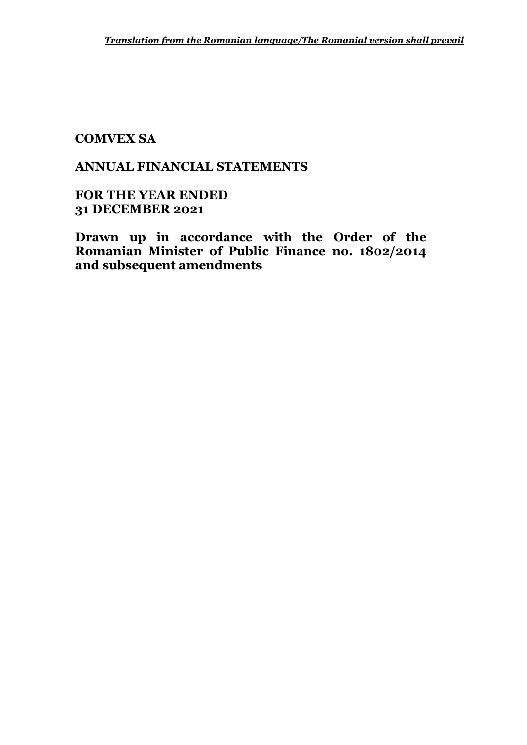# **ANNUAL FINANCIAL STATEMENTS**

**FOR THE YEAR ENDED 31 DECEMBER 2021**

**Drawn up in accordance with the Order of the Romanian Minister of Public Finance no. 1802/2014 and subsequent amendments**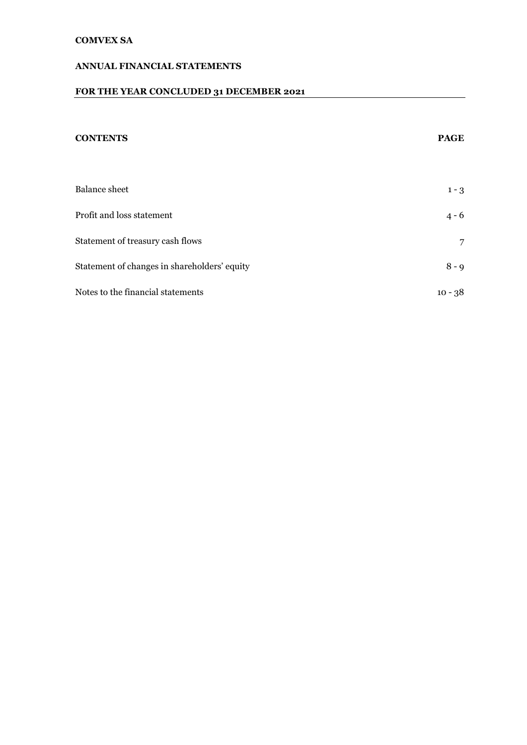#### **ANNUAL FINANCIAL STATEMENTS**

# **FOR THE YEAR CONCLUDED 31 DECEMBER 2021**

# **CONTENTS PAGE** Balance sheet 1 - 3 Profit and loss statement 4 - 6 Statement of treasury cash flows 7 Statement of changes in shareholders' equity 8 - 9 Notes to the financial statements 10 - 38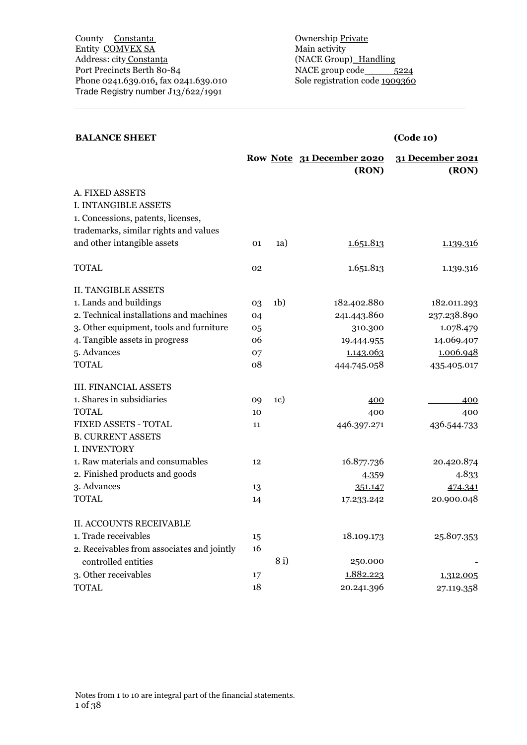#### **BALANCE SHEET (Code 10)**

|                                            |    |                | Row Note 31 December 2020<br>(RON) | 31 December 2021<br>(RON) |
|--------------------------------------------|----|----------------|------------------------------------|---------------------------|
|                                            |    |                |                                    |                           |
| A. FIXED ASSETS                            |    |                |                                    |                           |
| I. INTANGIBLE ASSETS                       |    |                |                                    |                           |
| 1. Concessions, patents, licenses,         |    |                |                                    |                           |
| trademarks, similar rights and values      |    |                |                                    |                           |
| and other intangible assets                | 01 | (a)            | 1.651.813                          | 1.139.316                 |
| <b>TOTAL</b>                               | 02 |                | 1.651.813                          | 1.139.316                 |
| <b>II. TANGIBLE ASSETS</b>                 |    |                |                                    |                           |
| 1. Lands and buildings                     | 03 | 1 <sub>b</sub> | 182.402.880                        | 182.011.293               |
| 2. Technical installations and machines    | 04 |                | 241.443.860                        | 237.238.890               |
| 3. Other equipment, tools and furniture    | 05 |                | 310.300                            | 1.078.479                 |
| 4. Tangible assets in progress             | 06 |                | 19.444.955                         | 14.069.407                |
| 5. Advances                                | 07 |                | 1.143.063                          | 1.006.948                 |
| <b>TOTAL</b>                               | 08 |                | 444.745.058                        | 435.405.017               |
| <b>III. FINANCIAL ASSETS</b>               |    |                |                                    |                           |
| 1. Shares in subsidiaries                  | 09 | 1c)            | 400                                | 400                       |
| <b>TOTAL</b>                               | 10 |                | 400                                | 400                       |
| FIXED ASSETS - TOTAL                       | 11 |                | 446.397.271                        | 436.544.733               |
| <b>B. CURRENT ASSETS</b>                   |    |                |                                    |                           |
| I. INVENTORY                               |    |                |                                    |                           |
| 1. Raw materials and consumables           | 12 |                | 16.877.736                         | 20.420.874                |
| 2. Finished products and goods             |    |                | 4.359                              | 4.833                     |
| 3. Advances                                | 13 |                | 351.147                            | 474.341                   |
| <b>TOTAL</b>                               | 14 |                | 17.233.242                         | 20.900.048                |
| <b>II. ACCOUNTS RECEIVABLE</b>             |    |                |                                    |                           |
| 1. Trade receivables                       | 15 |                | 18.109.173                         | 25.807.353                |
| 2. Receivables from associates and jointly | 16 |                |                                    |                           |
| controlled entities                        |    | 8i)            | 250.000                            |                           |
| 3. Other receivables                       | 17 |                | 1.882.223                          | 1.312.005                 |
| <b>TOTAL</b>                               | 18 |                | 20.241.396                         | 27.119.358                |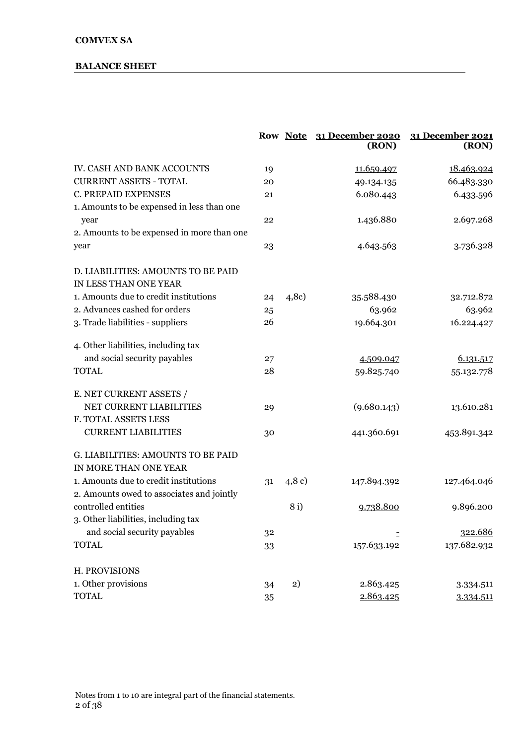#### **BALANCE SHEET**

|                                            |    |         | Row Note 31 December 2020<br>(RON) | 31 December 2021<br>(RON) |
|--------------------------------------------|----|---------|------------------------------------|---------------------------|
| IV. CASH AND BANK ACCOUNTS                 | 19 |         | 11.659.497                         | 18.463.924                |
| <b>CURRENT ASSETS - TOTAL</b>              | 20 |         | 49.134.135                         | 66.483.330                |
| C. PREPAID EXPENSES                        | 21 |         | 6.080.443                          | 6.433.596                 |
| 1. Amounts to be expensed in less than one |    |         |                                    |                           |
| year                                       | 22 |         | 1.436.880                          | 2.697.268                 |
| 2. Amounts to be expensed in more than one |    |         |                                    |                           |
| year                                       | 23 |         | 4.643.563                          | 3.736.328                 |
| D. LIABILITIES: AMOUNTS TO BE PAID         |    |         |                                    |                           |
| IN LESS THAN ONE YEAR                      |    |         |                                    |                           |
| 1. Amounts due to credit institutions      | 24 | (4,8c)  | 35.588.430                         | 32.712.872                |
| 2. Advances cashed for orders              | 25 |         | 63.962                             | 63.962                    |
| 3. Trade liabilities - suppliers           | 26 |         | 19.664.301                         | 16.224.427                |
| 4. Other liabilities, including tax        |    |         |                                    |                           |
| and social security payables               | 27 |         | 4.509.047                          | 6.131.517                 |
| <b>TOTAL</b>                               | 28 |         | 59.825.740                         | 55.132.778                |
| E. NET CURRENT ASSETS /                    |    |         |                                    |                           |
| NET CURRENT LIABILITIES                    | 29 |         | (9.680.143)                        | 13.610.281                |
| F. TOTAL ASSETS LESS                       |    |         |                                    |                           |
| <b>CURRENT LIABILITIES</b>                 | 30 |         | 441.360.691                        | 453.891.342               |
| G. LIABILITIES: AMOUNTS TO BE PAID         |    |         |                                    |                           |
| IN MORE THAN ONE YEAR                      |    |         |                                    |                           |
| 1. Amounts due to credit institutions      | 31 | (4, 8c) | 147.894.392                        | 127.464.046               |
| 2. Amounts owed to associates and jointly  |    |         |                                    |                           |
| controlled entities                        |    | 8i)     | 9.738.800                          | 9.896.200                 |
| 3. Other liabilities, including tax        |    |         |                                    |                           |
| and social security payables               | 32 |         |                                    | 322.686                   |
| <b>TOTAL</b>                               | 33 |         | 157.633.192                        | 137.682.932               |
| H. PROVISIONS                              |    |         |                                    |                           |
| 1. Other provisions                        | 34 | 2)      | 2.863.425                          | 3.334.511                 |
| <b>TOTAL</b>                               | 35 |         | 2.863.425                          | 3.334.511                 |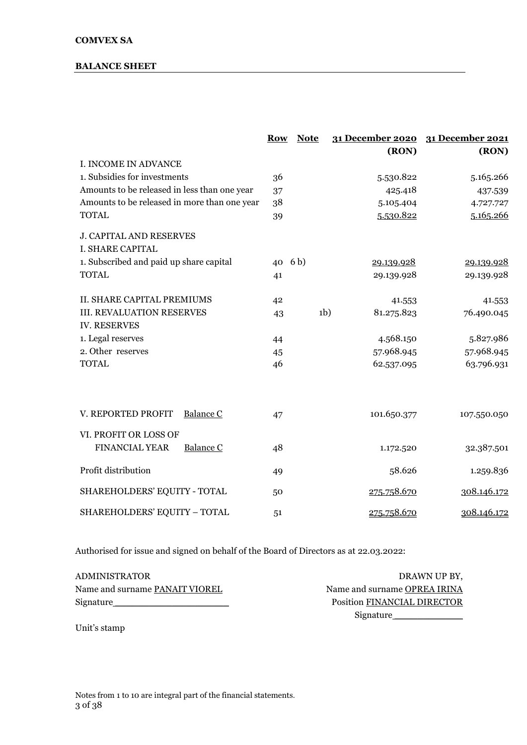#### **BALANCE SHEET**

|                                              | <b>Row</b> | <b>Note</b>    | 31 December 2020 | 31 December 2021 |
|----------------------------------------------|------------|----------------|------------------|------------------|
|                                              |            |                | (RON)            | (RON)            |
| I. INCOME IN ADVANCE                         |            |                |                  |                  |
| 1. Subsidies for investments                 | 36         |                | 5.530.822        | 5.165.266        |
| Amounts to be released in less than one year | 37         |                | 425.418          | 437.539          |
| Amounts to be released in more than one year | 38         |                | 5.105.404        | 4.727.727        |
| <b>TOTAL</b>                                 | 39         |                | 5.530.822        | 5.165.266        |
| <b>J. CAPITAL AND RESERVES</b>               |            |                |                  |                  |
| I. SHARE CAPITAL                             |            |                |                  |                  |
| 1. Subscribed and paid up share capital      | 40 6b)     |                | 29.139.928       | 29.139.928       |
| <b>TOTAL</b>                                 | 41         |                | 29.139.928       | 29.139.928       |
|                                              |            |                |                  |                  |
| <b>II. SHARE CAPITAL PREMIUMS</b>            | 42         |                | 41.553           | 41.553           |
| <b>III. REVALUATION RESERVES</b>             | 43         | 1 <sub>b</sub> | 81.275.823       | 76.490.045       |
| <b>IV. RESERVES</b>                          |            |                |                  |                  |
| 1. Legal reserves                            | 44         |                | 4.568.150        | 5.827.986        |
| 2. Other reserves                            | 45         |                | 57.968.945       | 57.968.945       |
| <b>TOTAL</b>                                 | 46         |                | 62.537.095       | 63.796.931       |
|                                              |            |                |                  |                  |
|                                              |            |                |                  |                  |
| V. REPORTED PROFIT<br>Balance C              | 47         |                | 101.650.377      | 107.550.050      |
| VI. PROFIT OR LOSS OF                        |            |                |                  |                  |
| <b>FINANCIAL YEAR</b><br>Balance C           | 48         |                | 1.172.520        | 32.387.501       |
|                                              |            |                |                  |                  |
| Profit distribution                          | 49         |                | 58.626           | 1.259.836        |
|                                              |            |                |                  |                  |
| SHAREHOLDERS' EQUITY - TOTAL                 | 50         |                | 275.758.670      | 308.146.172      |
| SHAREHOLDERS' EQUITY - TOTAL                 | 51         |                | 275.758.670      | 308.146.172      |

Authorised for issue and signed on behalf of the Board of Directors as at 22.03.2022:

| ADMINISTRATOR                  | DRAWN UP BY,                           |
|--------------------------------|----------------------------------------|
| Name and surname PANAIT VIOREL | Name and surname OPREA IRINA           |
| Signature_                     | Position FINANCIAL DIRECTOR            |
|                                | $\mathbf{a}$ . The set of $\mathbf{a}$ |

Unit's stamp

Signature \_\_\_\_\_\_\_\_\_\_\_\_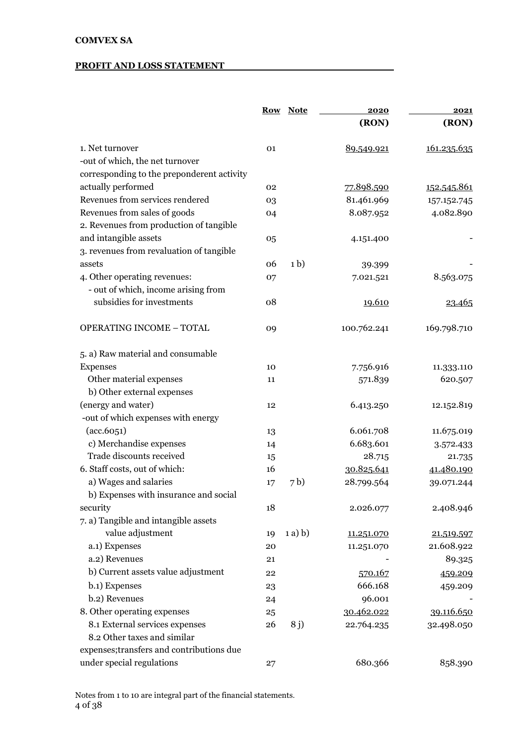#### **PROFIT AND LOSS STATEMENT**

|                                            |    | Row Note       | 2020        | 2021        |  |
|--------------------------------------------|----|----------------|-------------|-------------|--|
|                                            |    |                | (RON)       | (RON)       |  |
| 1. Net turnover                            | 01 |                | 89.549.921  | 161.235.635 |  |
| -out of which, the net turnover            |    |                |             |             |  |
| corresponding to the preponderent activity |    |                |             |             |  |
| actually performed                         | 02 |                | 77.898.590  | 152.545.861 |  |
| Revenues from services rendered            | 03 |                | 81.461.969  | 157.152.745 |  |
| Revenues from sales of goods               | 04 |                | 8.087.952   | 4.082.890   |  |
| 2. Revenues from production of tangible    |    |                |             |             |  |
| and intangible assets                      | 05 |                | 4.151.400   |             |  |
| 3. revenues from revaluation of tangible   |    |                |             |             |  |
| assets                                     | 06 | 1 <sub>b</sub> | 39.399      |             |  |
| 4. Other operating revenues:               | 07 |                | 7.021.521   | 8.563.075   |  |
| - out of which, income arising from        |    |                |             |             |  |
| subsidies for investments                  | 08 |                | 19.610      | 23.465      |  |
| <b>OPERATING INCOME - TOTAL</b>            | 09 |                | 100.762.241 | 169.798.710 |  |
| 5. a) Raw material and consumable          |    |                |             |             |  |
| Expenses                                   | 10 |                | 7.756.916   | 11.333.110  |  |
| Other material expenses                    | 11 |                | 571.839     | 620.507     |  |
| b) Other external expenses                 |    |                |             |             |  |
| (energy and water)                         | 12 |                | 6.413.250   | 12.152.819  |  |
| -out of which expenses with energy         |    |                |             |             |  |
| (acc.6051)                                 | 13 |                | 6.061.708   | 11.675.019  |  |
| c) Merchandise expenses                    | 14 |                | 6.683.601   | 3.572.433   |  |
| Trade discounts received                   | 15 |                | 28.715      | 21.735      |  |
| 6. Staff costs, out of which:              | 16 |                | 30.825.641  | 41.480.190  |  |
| a) Wages and salaries                      | 17 | 7 <sub>b</sub> | 28.799.564  | 39.071.244  |  |
| b) Expenses with insurance and social      |    |                |             |             |  |
| security                                   | 18 |                | 2.026.077   | 2.408.946   |  |
| 7. a) Tangible and intangible assets       |    |                |             |             |  |
| value adjustment                           | 19 | $(a)$ b)       | 11.251.070  | 21.519.597  |  |
| a.1) Expenses                              | 20 |                | 11.251.070  | 21.608.922  |  |
| a.2) Revenues                              | 21 |                |             | 89.325      |  |
| b) Current assets value adjustment         | 22 |                | 570.167     | 459.209     |  |
| b.1) Expenses                              | 23 |                | 666.168     | 459.209     |  |
| b.2) Revenues                              | 24 |                | 96.001      |             |  |
| 8. Other operating expenses                | 25 |                | 30.462.022  | 39.116.650  |  |
| 8.1 External services expenses             | 26 | 8 j)           | 22.764.235  | 32.498.050  |  |
| 8.2 Other taxes and similar                |    |                |             |             |  |
| expenses; transfers and contributions due  |    |                |             |             |  |
| under special regulations                  | 27 |                | 680.366     | 858.390     |  |
|                                            |    |                |             |             |  |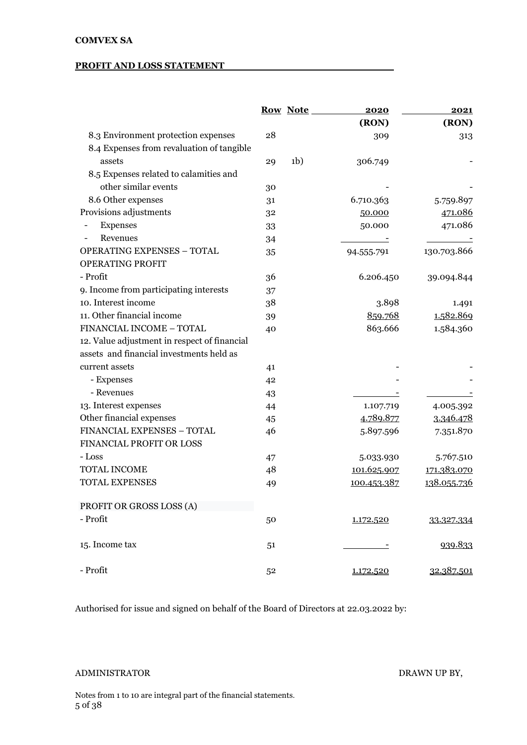#### **PROFIT AND LOSS STATEMENT**

|                                              |    | <b>Row Note</b> | 2020        | 2021        |
|----------------------------------------------|----|-----------------|-------------|-------------|
|                                              |    |                 | (RON)       | (RON)       |
| 8.3 Environment protection expenses          | 28 |                 | 309         | 313         |
| 8.4 Expenses from revaluation of tangible    |    |                 |             |             |
| assets                                       | 29 | 1 <sub>b</sub>  | 306.749     |             |
| 8.5 Expenses related to calamities and       |    |                 |             |             |
| other similar events                         | 30 |                 |             |             |
| 8.6 Other expenses                           | 31 |                 | 6.710.363   | 5.759.897   |
| Provisions adjustments                       | 32 |                 | 50.000      | 471.086     |
| Expenses                                     | 33 |                 | 50.000      | 471.086     |
| Revenues                                     | 34 |                 |             |             |
| <b>OPERATING EXPENSES - TOTAL</b>            | 35 |                 | 94.555.791  | 130.703.866 |
| OPERATING PROFIT                             |    |                 |             |             |
| - Profit                                     | 36 |                 | 6.206.450   | 39.094.844  |
| 9. Income from participating interests       | 37 |                 |             |             |
| 10. Interest income                          | 38 |                 | 3.898       | 1.491       |
| 11. Other financial income                   | 39 |                 | 859.768     | 1.582.869   |
| FINANCIAL INCOME - TOTAL                     | 40 |                 | 863.666     | 1.584.360   |
| 12. Value adjustment in respect of financial |    |                 |             |             |
| assets and financial investments held as     |    |                 |             |             |
| current assets                               | 41 |                 |             |             |
| - Expenses                                   | 42 |                 |             |             |
| - Revenues                                   | 43 |                 |             |             |
| 13. Interest expenses                        | 44 |                 | 1.107.719   | 4.005.392   |
| Other financial expenses                     | 45 |                 | 4.789.877   | 3.346.478   |
| FINANCIAL EXPENSES - TOTAL                   | 46 |                 | 5.897.596   | 7.351.870   |
| FINANCIAL PROFIT OR LOSS                     |    |                 |             |             |
| - Loss                                       | 47 |                 | 5.033.930   | 5.767.510   |
| TOTAL INCOME                                 | 48 |                 | 101.625.907 | 171.383.070 |
| <b>TOTAL EXPENSES</b>                        | 49 |                 | 100.453.387 | 138.055.736 |
| PROFIT OR GROSS LOSS (A)                     |    |                 |             |             |
| - Profit                                     | 50 |                 | 1.172.520   | 33.327.334  |
| 15. Income tax                               | 51 |                 |             | 939.833     |
| - Profit                                     | 52 |                 | 1.172.520   | 32.387.501  |

Authorised for issue and signed on behalf of the Board of Directors at 22.03.2022 by:

#### ADMINISTRATOR DRAWN UP BY,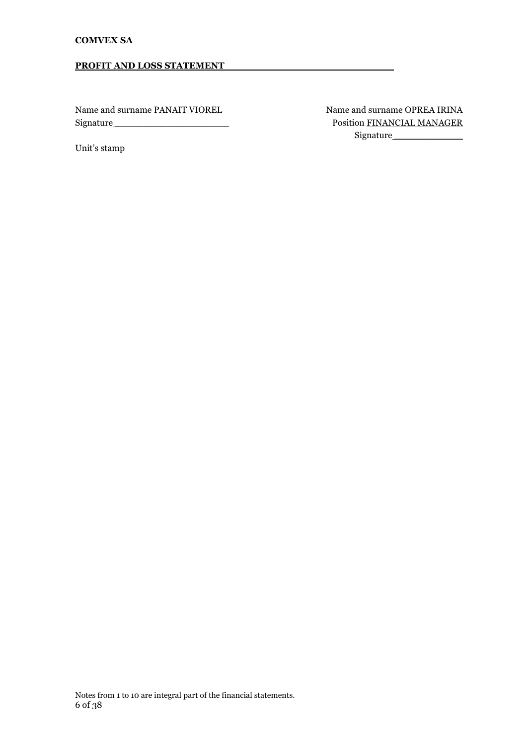#### **PROFIT AND LOSS STATEMENT**

Name and surname PANAIT VIOREL Name and surname OPREA IRINA

Unit's stamp

Signature \_\_\_\_\_\_\_\_\_\_\_\_\_\_\_\_\_\_\_\_ Position FINANCIAL MANAGER Signature \_\_\_\_\_\_\_\_\_\_\_\_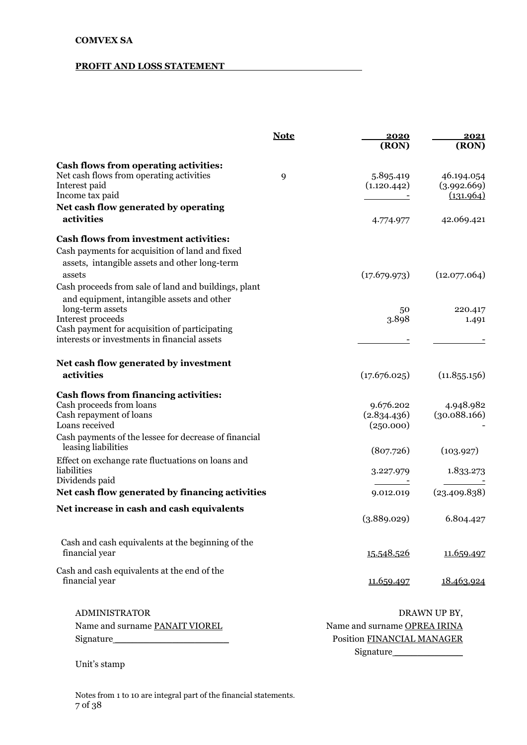#### **PROFIT AND LOSS STATEMENT**

|                                                       | <b>Note</b> | 2020<br>(RON)                | 2021<br>(RON) |
|-------------------------------------------------------|-------------|------------------------------|---------------|
| <b>Cash flows from operating activities:</b>          |             |                              |               |
| Net cash flows from operating activities              | 9           | 5.895.419                    | 46.194.054    |
| Interest paid                                         |             | (1.120.442)                  | (3.992.669)   |
| Income tax paid                                       |             |                              | (131.964)     |
| Net cash flow generated by operating                  |             |                              |               |
| activities                                            |             | 4.774.977                    | 42.069.421    |
| <b>Cash flows from investment activities:</b>         |             |                              |               |
| Cash payments for acquisition of land and fixed       |             |                              |               |
| assets, intangible assets and other long-term         |             |                              |               |
| assets                                                |             | (17.679.973)                 | (12.077.064)  |
| Cash proceeds from sale of land and buildings, plant  |             |                              |               |
| and equipment, intangible assets and other            |             |                              |               |
| long-term assets                                      |             | 50                           | 220.417       |
| Interest proceeds                                     |             | 3.898                        | 1.491         |
| Cash payment for acquisition of participating         |             |                              |               |
| interests or investments in financial assets          |             |                              |               |
| Net cash flow generated by investment                 |             |                              |               |
| activities                                            |             | (17.676.025)                 | (11.855.156)  |
| <b>Cash flows from financing activities:</b>          |             |                              |               |
| Cash proceeds from loans                              |             | 9.676.202                    | 4.948.982     |
| Cash repayment of loans                               |             | (2.834.436)                  | (30.088.166)  |
| Loans received                                        |             | (250.000)                    |               |
| Cash payments of the lessee for decrease of financial |             |                              |               |
| leasing liabilities                                   |             | (807.726)                    | (103.927)     |
| Effect on exchange rate fluctuations on loans and     |             |                              |               |
| liabilities                                           |             | 3.227.979                    | 1.833.273     |
| Dividends paid                                        |             |                              |               |
| Net cash flow generated by financing activities       |             | 9.012.019                    | (23.409.838)  |
| Net increase in cash and cash equivalents             |             |                              |               |
|                                                       |             | (3.889.029)                  | 6.804.427     |
| Cash and cash equivalents at the beginning of the     |             |                              |               |
| financial year                                        |             | 15.548.526                   | 11.659.497    |
|                                                       |             |                              |               |
| Cash and cash equivalents at the end of the           |             |                              |               |
| financial year                                        |             | 11.659.497                   | 18.463.924    |
|                                                       |             |                              |               |
| <b>ADMINISTRATOR</b>                                  |             |                              | DRAWN UP BY,  |
| Name and surname PANAIT VIOREL                        |             | Name and surname OPREA IRINA |               |
|                                                       |             | Position FINANCIAL MANAGER   |               |
|                                                       |             | Signature                    |               |

Unit's stamp

Notes from 1 to 10 are integral part of the financial statements. 7 of 38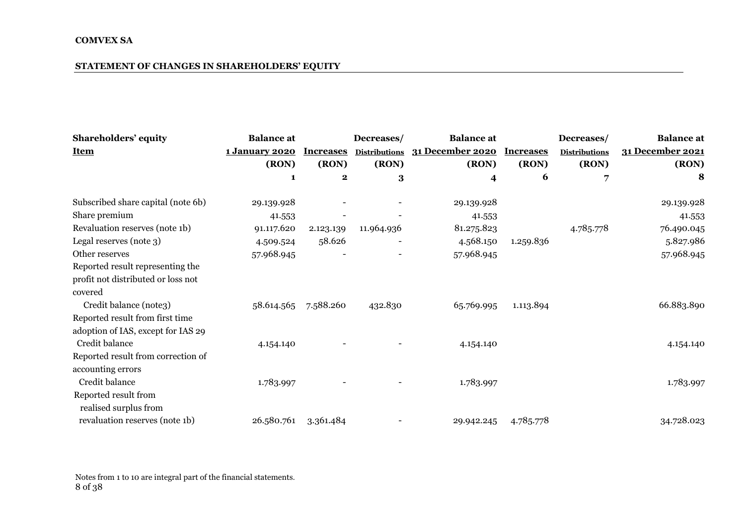### **STATEMENT OF CHANGES IN SHAREHOLDERS' EQUITY**

| Shareholders' equity               | <b>Balance</b> at     |                  | Decreases/           | <b>Balance</b> at |                  | Decreases/           | <b>Balance</b> at |
|------------------------------------|-----------------------|------------------|----------------------|-------------------|------------------|----------------------|-------------------|
| <b>Item</b>                        | <b>1 January 2020</b> | <b>Increases</b> | <b>Distributions</b> | 31 December 2020  | <b>Increases</b> | <b>Distributions</b> | 31 December 2021  |
|                                    | (RON)                 | (RON)            | (RON)                | (RON)             | (RON)            | (RON)                | (RON)             |
|                                    | 1                     | $\mathbf 2$      | 3                    | 4                 | 6                | 7                    | 8                 |
| Subscribed share capital (note 6b) | 29.139.928            |                  |                      | 29.139.928        |                  |                      | 29.139.928        |
| Share premium                      | 41.553                |                  |                      | 41.553            |                  |                      | 41.553            |
| Revaluation reserves (note 1b)     | 91.117.620            | 2.123.139        | 11.964.936           | 81.275.823        |                  | 4.785.778            | 76.490.045        |
| Legal reserves (note 3)            | 4.509.524             | 58.626           |                      | 4.568.150         | 1.259.836        |                      | 5.827.986         |
| Other reserves                     | 57.968.945            |                  |                      | 57.968.945        |                  |                      | 57.968.945        |
| Reported result representing the   |                       |                  |                      |                   |                  |                      |                   |
| profit not distributed or loss not |                       |                  |                      |                   |                  |                      |                   |
| covered                            |                       |                  |                      |                   |                  |                      |                   |
| Credit balance (note3)             | 58.614.565            | 7.588.260        | 432.830              | 65.769.995        | 1.113.894        |                      | 66.883.890        |
| Reported result from first time    |                       |                  |                      |                   |                  |                      |                   |
| adoption of IAS, except for IAS 29 |                       |                  |                      |                   |                  |                      |                   |
| Credit balance                     | 4.154.140             |                  |                      | 4.154.140         |                  |                      | 4.154.140         |
| Reported result from correction of |                       |                  |                      |                   |                  |                      |                   |
| accounting errors                  |                       |                  |                      |                   |                  |                      |                   |
| Credit balance                     | 1.783.997             |                  |                      | 1.783.997         |                  |                      | 1.783.997         |
| Reported result from               |                       |                  |                      |                   |                  |                      |                   |
| realised surplus from              |                       |                  |                      |                   |                  |                      |                   |
| revaluation reserves (note 1b)     | 26.580.761            | 3.361.484        |                      | 29.942.245        | 4.785.778        |                      | 34.728.023        |

Notes from 1 to 10 are integral part of the financial statements. 8 of 38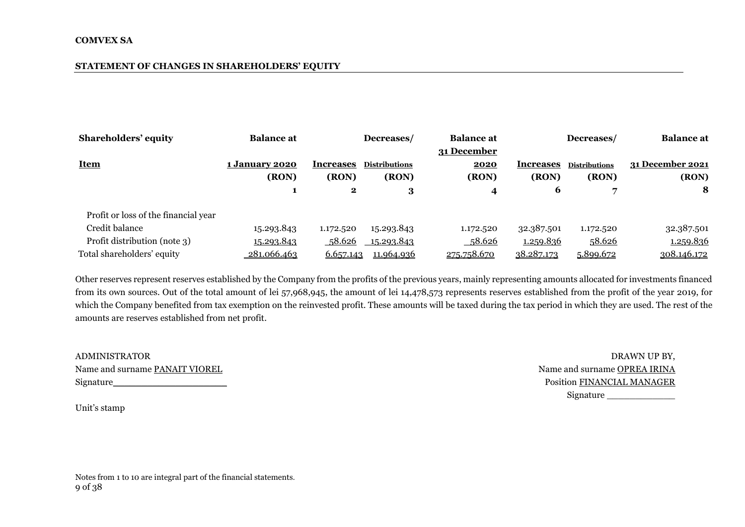#### **STATEMENT OF CHANGES IN SHAREHOLDERS' EQUITY**

| <b>Shareholders' equity</b>          | <b>Balance at</b>     |                  | Decreases/           | <b>Balance at</b> |                                | Decreases/           | <b>Balance</b> at |
|--------------------------------------|-----------------------|------------------|----------------------|-------------------|--------------------------------|----------------------|-------------------|
|                                      |                       |                  |                      | 31 December       |                                |                      |                   |
| <b>Item</b>                          | <b>1 January 2020</b> | <b>Increases</b> | <b>Distributions</b> | 2020              | <i><u><b>Increases</b></u></i> | <b>Distributions</b> | 31 December 2021  |
|                                      | (RON)                 | (RON)            | (RON)                | (RON)             | (RON)                          | (RON)                | (RON)             |
|                                      |                       | $\mathbf{2}$     | 3                    | 4                 | 6                              |                      | 8                 |
| Profit or loss of the financial year |                       |                  |                      |                   |                                |                      |                   |
| Credit balance                       | 15.293.843            | 1.172.520        | 15.293.843           | 1.172.520         | 32.387.501                     | 1.172.520            | 32.387.501        |
| Profit distribution (note 3)         | 15.293.843            | 58.626           | <u>15.293.843</u>    | 58.626            | 1.259.836                      | 58.626               | <u>1.259.836</u>  |
| Total shareholders' equity           | 281.066.463           | 6.657.143        | 11.964.936           | 275.758.670       | 38.287.173                     | 5.899.672            | 308.146.172       |

Other reserves represent reserves established by the Company from the profits of the previous years, mainly representing amounts allocated for investments financed from its own sources. Out of the total amount of lei 57,968,945, the amount of lei 14,478,573 represents reserves established from the profit of the year 2019, for which the Company benefited from tax exemption on the reinvested profit. These amounts will be taxed during the tax period in which they are used. The rest of the amounts are reserves established from net profit.

| <b>ADMINISTRATOR</b>           | DRAWN UP BY.                      |
|--------------------------------|-----------------------------------|
| Name and surname PANAIT VIOREL | Name and surname OPREA IRINA      |
| Signature                      | <b>Position FINANCIAL MANAGER</b> |

Unit's stamp

Name and surname OPREA IRINA Signature\_\_\_\_\_\_\_\_\_\_\_\_\_\_\_\_\_\_\_\_ Position FINANCIAL MANAGER Signature \_\_\_\_\_\_\_\_\_\_\_\_

Notes from 1 to 10 are integral part of the financial statements. 9 of 38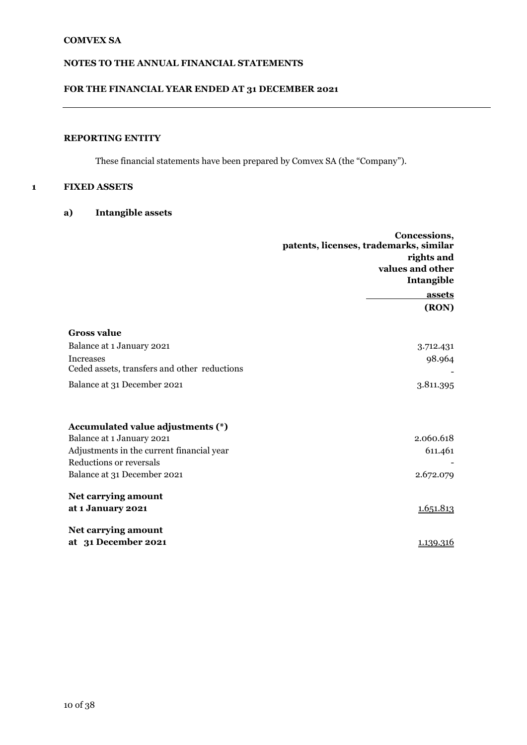# **FOR THE FINANCIAL YEAR ENDED AT 31 DECEMBER 2021**

# **REPORTING ENTITY**

These financial statements have been prepared by Comvex SA (the "Company").

#### **1 FIXED ASSETS**

**a) Intangible assets** 

|                                              | Concessions,<br>patents, licenses, trademarks, similar |  |  |
|----------------------------------------------|--------------------------------------------------------|--|--|
|                                              | rights and                                             |  |  |
|                                              | values and other                                       |  |  |
|                                              | Intangible                                             |  |  |
|                                              | <b>assets</b>                                          |  |  |
|                                              | (RON)                                                  |  |  |
| <b>Gross value</b>                           |                                                        |  |  |
| Balance at 1 January 2021                    | 3.712.431                                              |  |  |
| <b>Increases</b>                             | 98.964                                                 |  |  |
| Ceded assets, transfers and other reductions |                                                        |  |  |
| Balance at 31 December 2021                  | 3.811.395                                              |  |  |
|                                              |                                                        |  |  |
| Accumulated value adjustments (*)            |                                                        |  |  |
| Balance at 1 January 2021                    | 2.060.618                                              |  |  |
| Adjustments in the current financial year    | 611.461                                                |  |  |
| Reductions or reversals                      |                                                        |  |  |
| Balance at 31 December 2021                  | 2.672.079                                              |  |  |
| Net carrying amount                          |                                                        |  |  |
| at 1 January 2021                            | 1.651.813                                              |  |  |
| Net carrying amount                          |                                                        |  |  |
| at 31 December 2021                          | 1.139.316                                              |  |  |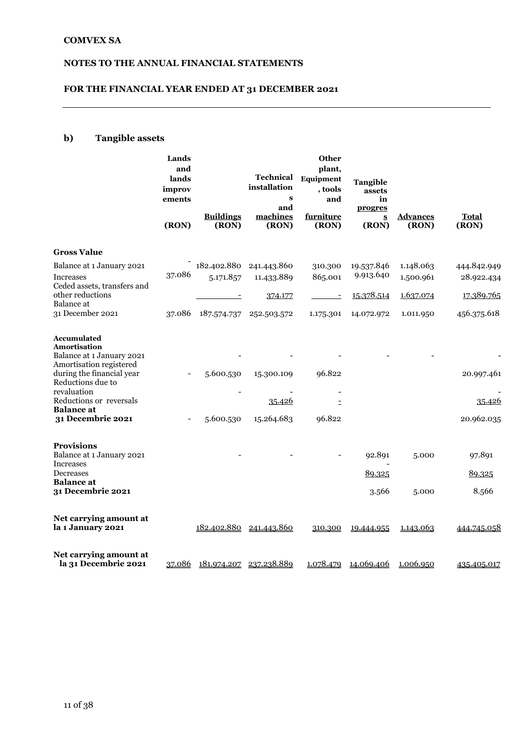# **FOR THE FINANCIAL YEAR ENDED AT 31 DECEMBER 2021**

# **b) Tangible assets**

|                                                                           | Lands<br>and<br>lands<br>improv<br>ements<br>(RON) | <b>Buildings</b><br>(RON) | <b>Technical</b><br>installation<br>$\bf{s}$<br>and<br>machines<br>(RON) | <b>Other</b><br>plant,<br>Equipment<br>, tools<br>and<br>furniture<br>(RON) | Tangible<br>assets<br>in<br>progres<br>$\underline{\mathbf{S}}$<br>(RON) | <b>Advances</b><br>(RON) | <b>Total</b><br>(RON) |
|---------------------------------------------------------------------------|----------------------------------------------------|---------------------------|--------------------------------------------------------------------------|-----------------------------------------------------------------------------|--------------------------------------------------------------------------|--------------------------|-----------------------|
| <b>Gross Value</b>                                                        |                                                    |                           |                                                                          |                                                                             |                                                                          |                          |                       |
| Balance at 1 January 2021                                                 |                                                    | 182.402.880               | 241.443.860                                                              | 310.300                                                                     | 19.537.846                                                               | 1.148.063                | 444.842.949           |
| Increases<br>Ceded assets, transfers and                                  | 37.086                                             | 5.171.857                 | 11.433.889                                                               | 865.001                                                                     | 9.913.640                                                                | 1.500.961                | 28.922.434            |
| other reductions<br>Balance at                                            |                                                    |                           | 374.177                                                                  | $\overline{\phantom{a}}$                                                    | 15.378.514                                                               | 1.637.074                | 17.389.765            |
| 31 December 2021                                                          |                                                    | 37.086 187.574.737        | 252.503.572                                                              | 1.175.301                                                                   | 14.072.972                                                               | 1.011.950                | 456.375.618           |
| <b>Accumulated</b><br><b>Amortisation</b><br>Balance at 1 January 2021    |                                                    |                           |                                                                          |                                                                             |                                                                          |                          |                       |
| Amortisation registered<br>during the financial year<br>Reductions due to |                                                    | 5.600.530                 | 15.300.109                                                               | 96.822                                                                      |                                                                          |                          | 20.997.461            |
| revaluation<br>Reductions or reversals<br><b>Balance</b> at               |                                                    |                           | <u>35.426</u>                                                            |                                                                             |                                                                          |                          | <u>35.426</u>         |
| 31 Decembrie 2021                                                         |                                                    | 5.600.530                 | 15.264.683                                                               | 96.822                                                                      |                                                                          |                          | 20.962.035            |
| <b>Provisions</b>                                                         |                                                    |                           |                                                                          |                                                                             |                                                                          |                          |                       |
| Balance at 1 January 2021<br>Increases                                    |                                                    |                           |                                                                          |                                                                             | 92.891                                                                   | 5.000                    | 97.891                |
| Decreases<br><b>Balance</b> at                                            |                                                    |                           |                                                                          |                                                                             | 89.325                                                                   |                          | 89.325                |
| 31 Decembrie 2021                                                         |                                                    |                           |                                                                          |                                                                             | 3.566                                                                    | 5.000                    | 8.566                 |
| Net carrying amount at<br>la 1 January 2021                               |                                                    |                           | 182.402.880 241.443.860                                                  | 310.300                                                                     | 19.444.955                                                               | 1.143.063                | <u>444.745.058</u>    |
| Net carrying amount at<br>la 31 Decembrie 2021                            | 37.086                                             |                           | 181.974.207 237.238.889                                                  |                                                                             | 1.078.479 14.069.406                                                     | 1.006.950                | 435.405.017           |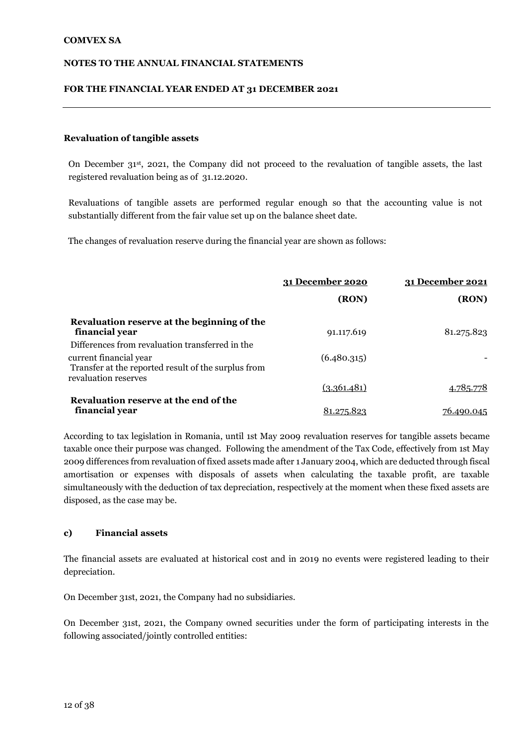#### **FOR THE FINANCIAL YEAR ENDED AT 31 DECEMBER 2021**

#### **Revaluation of tangible assets**

On December 31st, 2021, the Company did not proceed to the revaluation of tangible assets, the last registered revaluation being as of 31.12.2020.

Revaluations of tangible assets are performed regular enough so that the accounting value is not substantially different from the fair value set up on the balance sheet date.

The changes of revaluation reserve during the financial year are shown as follows:

|                                                                               | 31 December 2020 | 31 December 2021 |  |
|-------------------------------------------------------------------------------|------------------|------------------|--|
|                                                                               | (RON)            | (RON)            |  |
| Revaluation reserve at the beginning of the<br>financial year                 | 91.117.619       | 81.275.823       |  |
| Differences from revaluation transferred in the                               |                  |                  |  |
| current financial year<br>Transfer at the reported result of the surplus from | (6.480.315)      |                  |  |
| revaluation reserves                                                          | (3.361.481)      | 4.785.778        |  |
| Revaluation reserve at the end of the                                         |                  |                  |  |
| financial year                                                                | 81.275.823       | 76.490.045       |  |

According to tax legislation in Romania, until 1st May 2009 revaluation reserves for tangible assets became taxable once their purpose was changed. Following the amendment of the Tax Code, effectively from 1st May 2009 differences from revaluation of fixed assets made after 1 January 2004, which are deducted through fiscal amortisation or expenses with disposals of assets when calculating the taxable profit, are taxable simultaneously with the deduction of tax depreciation, respectively at the moment when these fixed assets are disposed, as the case may be.

#### **c) Financial assets**

The financial assets are evaluated at historical cost and in 2019 no events were registered leading to their depreciation.

On December 31st, 2021, the Company had no subsidiaries.

On December 31st, 2021, the Company owned securities under the form of participating interests in the following associated/jointly controlled entities: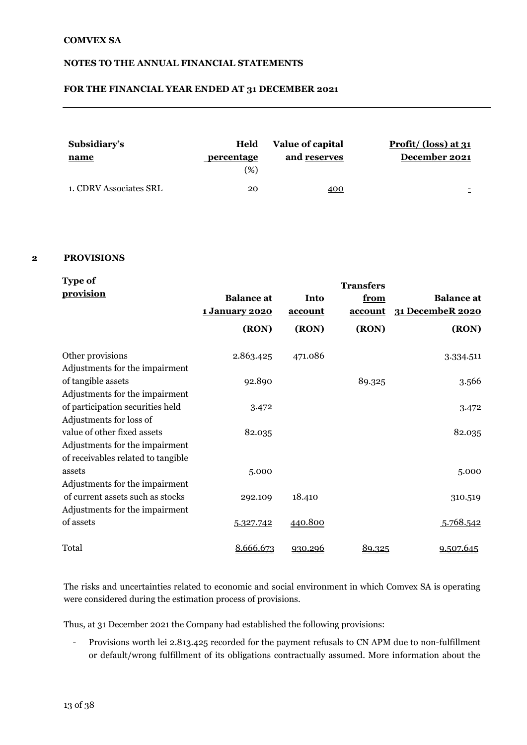#### **FOR THE FINANCIAL YEAR ENDED AT 31 DECEMBER 2021**

| Subsidiary's<br><u>name</u> | Held<br>percentage<br>(%) | Value of capital<br>and reserves | Profit/ $\left(\frac{\text{loss}}{\text{ats}}\right)$ at 31<br>December 2021 |
|-----------------------------|---------------------------|----------------------------------|------------------------------------------------------------------------------|
| 1. CDRV Associates SRL      | 20                        | 400                              |                                                                              |

#### **2 PROVISIONS**

| <b>Type of</b>                     |                                            |                 | <b>Transfers</b> |                                       |
|------------------------------------|--------------------------------------------|-----------------|------------------|---------------------------------------|
| provision                          | <b>Balance</b> at<br><u>1 January 2020</u> | Into<br>account | from<br>account  | <b>Balance</b> at<br>31 DecembeR 2020 |
|                                    | (RON)                                      | (RON)           | (RON)            | (RON)                                 |
| Other provisions                   | 2.863.425                                  | 471.086         |                  | 3.334.511                             |
| Adjustments for the impairment     |                                            |                 |                  |                                       |
| of tangible assets                 | 92.890                                     |                 | 89.325           | 3.566                                 |
| Adjustments for the impairment     |                                            |                 |                  |                                       |
| of participation securities held   | 3.472                                      |                 |                  | 3.472                                 |
| Adjustments for loss of            |                                            |                 |                  |                                       |
| value of other fixed assets        | 82.035                                     |                 |                  | 82.035                                |
| Adjustments for the impairment     |                                            |                 |                  |                                       |
| of receivables related to tangible |                                            |                 |                  |                                       |
| assets                             | 5.000                                      |                 |                  | 5.000                                 |
| Adjustments for the impairment     |                                            |                 |                  |                                       |
| of current assets such as stocks   | 292.109                                    | 18.410          |                  | 310.519                               |
| Adjustments for the impairment     |                                            |                 |                  |                                       |
| of assets                          | 5.327.742                                  | 440.800         |                  | 5.768.542                             |
| Total                              | 8.666.673                                  | 930.296         | 89.325           | 9.507.645                             |

The risks and uncertainties related to economic and social environment in which Comvex SA is operating were considered during the estimation process of provisions.

Thus, at 31 December 2021 the Company had established the following provisions:

- Provisions worth lei 2.813.425 recorded for the payment refusals to CN APM due to non-fulfillment or default/wrong fulfillment of its obligations contractually assumed. More information about the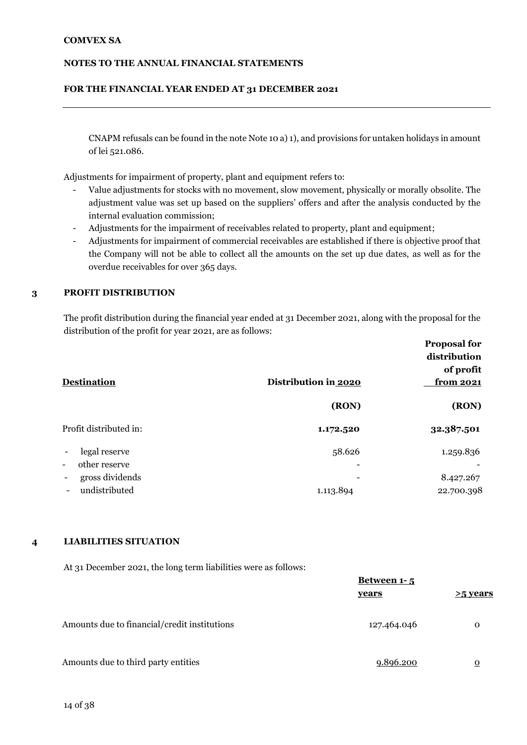#### **NOTES TO THE ANNUAL FINANCIAL STATEMENTS**

#### **FOR THE FINANCIAL YEAR ENDED AT 31 DECEMBER 2021**

CNAPM refusals can be found in the note Note 10 a) 1), and provisions for untaken holidays in amount of lei 521.086.

Adjustments for impairment of property, plant and equipment refers to:

- Value adjustments for stocks with no movement, slow movement, physically or morally obsolite. The adjustment value was set up based on the suppliers' offers and after the analysis conducted by the internal evaluation commission;
- Adjustments for the impairment of receivables related to property, plant and equipment;
- Adjustments for impairment of commercial receivables are established if there is objective proof that the Company will not be able to collect all the amounts on the set up due dates, as well as for the overdue receivables for over 365 days.

#### **3 PROFIT DISTRIBUTION**

The profit distribution during the financial year ended at 31 December 2021, along with the proposal for the distribution of the profit for year 2021, are as follows:

|                                                              |                      | <b>Proposal for</b><br>distribution<br>of profit |
|--------------------------------------------------------------|----------------------|--------------------------------------------------|
| <b>Destination</b>                                           | Distribution in 2020 | <u>from 2021</u>                                 |
|                                                              | (RON)                | (RON)                                            |
| Profit distributed in:                                       | 1.172.520            | 32.387.501                                       |
| legal reserve                                                | 58.626               | 1.259.836                                        |
| other reserve<br>$\overline{\phantom{a}}$<br>gross dividends |                      | 8.427.267                                        |
| undistributed                                                | 1.113.894            | 22.700.398                                       |

#### **4 LIABILITIES SITUATION**

At 31 December 2021, the long term liabilities were as follows:

|                                              | Between 1-5 |                |
|----------------------------------------------|-------------|----------------|
|                                              | years       | >5 vears       |
| Amounts due to financial/credit institutions | 127.464.046 | $\Omega$       |
| Amounts due to third party entities          | 9.896.200   | $\overline{o}$ |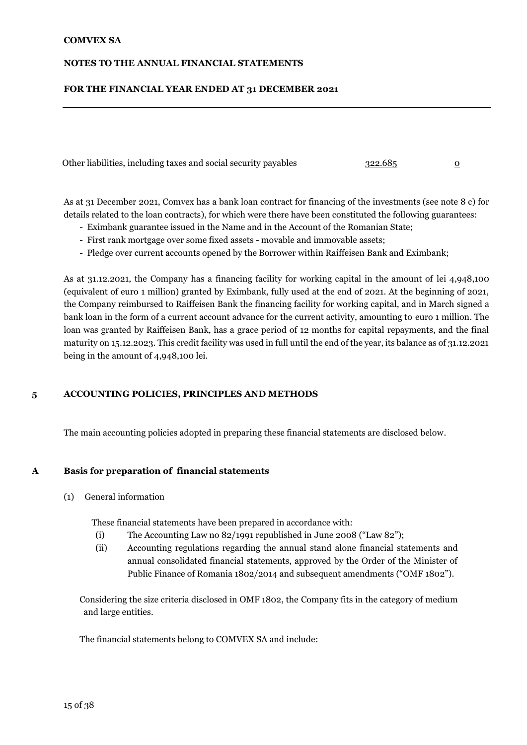#### **NOTES TO THE ANNUAL FINANCIAL STATEMENTS**

#### **FOR THE FINANCIAL YEAR ENDED AT 31 DECEMBER 2021**

Other liabilities, including taxes and social security payables 322.685 0

As at 31 December 2021, Comvex has a bank loan contract for financing of the investments (see note 8 c) for details related to the loan contracts), for which were there have been constituted the following guarantees:

- Eximbank guarantee issued in the Name and in the Account of the Romanian State;
- First rank mortgage over some fixed assets movable and immovable assets;
- Pledge over current accounts opened by the Borrower within Raiffeisen Bank and Eximbank;

As at 31.12.2021, the Company has a financing facility for working capital in the amount of lei 4,948,100 (equivalent of euro 1 million) granted by Eximbank, fully used at the end of 2021. At the beginning of 2021, the Company reimbursed to Raiffeisen Bank the financing facility for working capital, and in March signed a bank loan in the form of a current account advance for the current activity, amounting to euro 1 million. The loan was granted by Raiffeisen Bank, has a grace period of 12 months for capital repayments, and the final maturity on 15.12.2023. This credit facility was used in full until the end of the year, its balance as of 31.12.2021 being in the amount of 4,948,100 lei.

#### **5 ACCOUNTING POLICIES, PRINCIPLES AND METHODS**

The main accounting policies adopted in preparing these financial statements are disclosed below.

# **A Basis for preparation of financial statements**

(1) General information

These financial statements have been prepared in accordance with:

- (i) The Accounting Law no 82/1991 republished in June 2008 ("Law 82");
- (ii) Accounting regulations regarding the annual stand alone financial statements and annual consolidated financial statements, approved by the Order of the Minister of Public Finance of Romania 1802/2014 and subsequent amendments ("OMF 1802").

Considering the size criteria disclosed in OMF 1802, the Company fits in the category of medium and large entities.

The financial statements belong to COMVEX SA and include: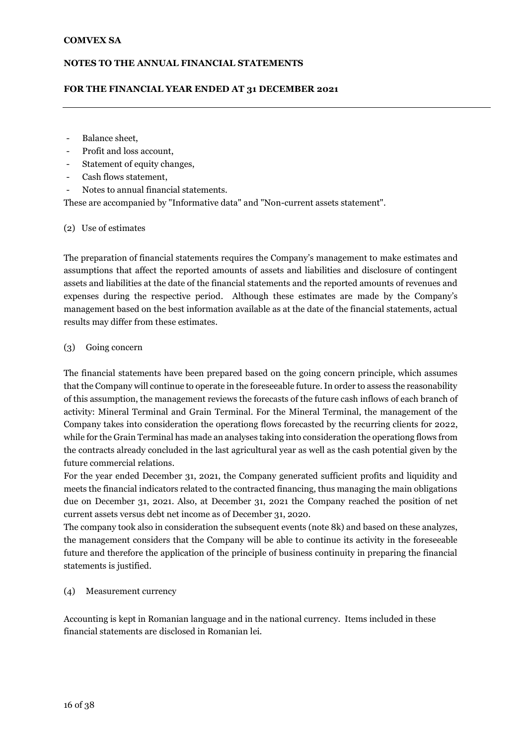#### **FOR THE FINANCIAL YEAR ENDED AT 31 DECEMBER 2021**

- Balance sheet,
- Profit and loss account,
- Statement of equity changes,
- Cash flows statement,
- Notes to annual financial statements.

These are accompanied by "Informative data" and "Non-current assets statement".

#### (2) Use of estimates

The preparation of financial statements requires the Company's management to make estimates and assumptions that affect the reported amounts of assets and liabilities and disclosure of contingent assets and liabilities at the date of the financial statements and the reported amounts of revenues and expenses during the respective period. Although these estimates are made by the Company's management based on the best information available as at the date of the financial statements, actual results may differ from these estimates.

#### 1. (3) Going concern

The financial statements have been prepared based on the going concern principle, which assumes that the Company will continue to operate in the foreseeable future. In order to assess the reasonability of this assumption, the management reviews the forecasts of the future cash inflows of each branch of activity: Mineral Terminal and Grain Terminal. For the Mineral Terminal, the management of the Company takes into consideration the operationg flows forecasted by the recurring clients for 2022, while for the Grain Terminal has made an analyses taking into consideration the operationg flows from the contracts already concluded in the last agricultural year as well as the cash potential given by the future commercial relations.

For the year ended December 31, 2021, the Company generated sufficient profits and liquidity and meets the financial indicators related to the contracted financing, thus managing the main obligations due on December 31, 2021. Also, at December 31, 2021 the Company reached the position of net current assets versus debt net income as of December 31, 2020.

The company took also in consideration the subsequent events (note 8k) and based on these analyzes, the management considers that the Company will be able to continue its activity in the foreseeable future and therefore the application of the principle of business continuity in preparing the financial statements is justified.

#### 2. (4) Measurement currency

Accounting is kept in Romanian language and in the national currency. Items included in these financial statements are disclosed in Romanian lei.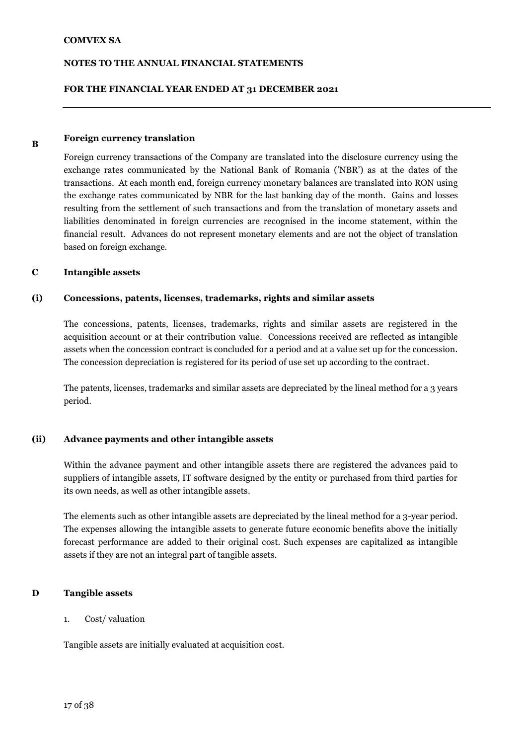#### **FOR THE FINANCIAL YEAR ENDED AT 31 DECEMBER 2021**

#### **B Foreign currency translation**

Foreign currency transactions of the Company are translated into the disclosure currency using the exchange rates communicated by the National Bank of Romania ('NBR') as at the dates of the transactions. At each month end, foreign currency monetary balances are translated into RON using the exchange rates communicated by NBR for the last banking day of the month. Gains and losses resulting from the settlement of such transactions and from the translation of monetary assets and liabilities denominated in foreign currencies are recognised in the income statement, within the financial result. Advances do not represent monetary elements and are not the object of translation based on foreign exchange.

#### **C Intangible assets**

#### **(i) Concessions, patents, licenses, trademarks, rights and similar assets**

The concessions, patents, licenses, trademarks, rights and similar assets are registered in the acquisition account or at their contribution value. Concessions received are reflected as intangible assets when the concession contract is concluded for a period and at a value set up for the concession. The concession depreciation is registered for its period of use set up according to the contract.

The patents, licenses, trademarks and similar assets are depreciated by the lineal method for a 3 years period.

#### **(ii) Advance payments and other intangible assets**

Within the advance payment and other intangible assets there are registered the advances paid to suppliers of intangible assets, IT software designed by the entity or purchased from third parties for its own needs, as well as other intangible assets.

The elements such as other intangible assets are depreciated by the lineal method for a 3-year period. The expenses allowing the intangible assets to generate future economic benefits above the initially forecast performance are added to their original cost. Such expenses are capitalized as intangible assets if they are not an integral part of tangible assets.

#### **D Tangible assets**

#### 1. Cost/ valuation

Tangible assets are initially evaluated at acquisition cost.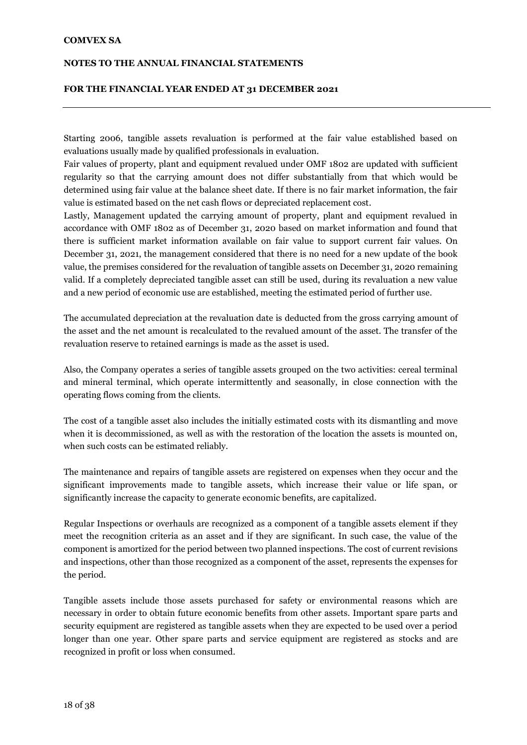#### **NOTES TO THE ANNUAL FINANCIAL STATEMENTS**

#### **FOR THE FINANCIAL YEAR ENDED AT 31 DECEMBER 2021**

Starting 2006, tangible assets revaluation is performed at the fair value established based on evaluations usually made by qualified professionals in evaluation.

Fair values of property, plant and equipment revalued under OMF 1802 are updated with sufficient regularity so that the carrying amount does not differ substantially from that which would be determined using fair value at the balance sheet date. If there is no fair market information, the fair value is estimated based on the net cash flows or depreciated replacement cost.

Lastly, Management updated the carrying amount of property, plant and equipment revalued in accordance with OMF 1802 as of December 31, 2020 based on market information and found that there is sufficient market information available on fair value to support current fair values. On December 31, 2021, the management considered that there is no need for a new update of the book value, the premises considered for the revaluation of tangible assets on December 31, 2020 remaining valid. If a completely depreciated tangible asset can still be used, during its revaluation a new value and a new period of economic use are established, meeting the estimated period of further use.

The accumulated depreciation at the revaluation date is deducted from the gross carrying amount of the asset and the net amount is recalculated to the revalued amount of the asset. The transfer of the revaluation reserve to retained earnings is made as the asset is used.

Also, the Company operates a series of tangible assets grouped on the two activities: cereal terminal and mineral terminal, which operate intermittently and seasonally, in close connection with the operating flows coming from the clients.

The cost of a tangible asset also includes the initially estimated costs with its dismantling and move when it is decommissioned, as well as with the restoration of the location the assets is mounted on, when such costs can be estimated reliably.

The maintenance and repairs of tangible assets are registered on expenses when they occur and the significant improvements made to tangible assets, which increase their value or life span, or significantly increase the capacity to generate economic benefits, are capitalized.

Regular Inspections or overhauls are recognized as a component of a tangible assets element if they meet the recognition criteria as an asset and if they are significant. In such case, the value of the component is amortized for the period between two planned inspections. The cost of current revisions and inspections, other than those recognized as a component of the asset, represents the expenses for the period.

Tangible assets include those assets purchased for safety or environmental reasons which are necessary in order to obtain future economic benefits from other assets. Important spare parts and security equipment are registered as tangible assets when they are expected to be used over a period longer than one year. Other spare parts and service equipment are registered as stocks and are recognized in profit or loss when consumed.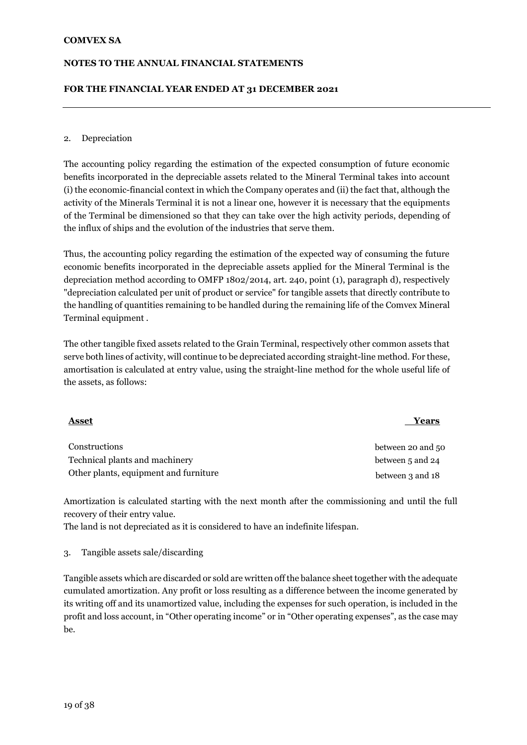#### **NOTES TO THE ANNUAL FINANCIAL STATEMENTS**

#### **FOR THE FINANCIAL YEAR ENDED AT 31 DECEMBER 2021**

#### 2. Depreciation

The accounting policy regarding the estimation of the expected consumption of future economic benefits incorporated in the depreciable assets related to the Mineral Terminal takes into account (i) the economic-financial context in which the Company operates and (ii) the fact that, although the activity of the Minerals Terminal it is not a linear one, however it is necessary that the equipments of the Terminal be dimensioned so that they can take over the high activity periods, depending of the influx of ships and the evolution of the industries that serve them.

Thus, the accounting policy regarding the estimation of the expected way of consuming the future economic benefits incorporated in the depreciable assets applied for the Mineral Terminal is the depreciation method according to OMFP 1802/2014, art. 240, point (1), paragraph d), respectively "depreciation calculated per unit of product or service" for tangible assets that directly contribute to the handling of quantities remaining to be handled during the remaining life of the Comvex Mineral Terminal equipment .

The other tangible fixed assets related to the Grain Terminal, respectively other common assets that serve both lines of activity, will continue to be depreciated according straight-line method. For these, amortisation is calculated at entry value, using the straight-line method for the whole useful life of the assets, as follows:

#### <u>Asset</u> Years **Years**

Constructions between 20 and 50 Technical plants and machinery between 5 and 24 Other plants, equipment and furniture between 3 and 18

Amortization is calculated starting with the next month after the commissioning and until the full recovery of their entry value.

The land is not depreciated as it is considered to have an indefinite lifespan.

#### 3. 3. Tangible assets sale/discarding

Tangible assets which are discarded or sold are written off the balance sheet together with the adequate cumulated amortization. Any profit or loss resulting as a difference between the income generated by its writing off and its unamortized value, including the expenses for such operation, is included in the profit and loss account, in "Other operating income" or in "Other operating expenses", as the case may be.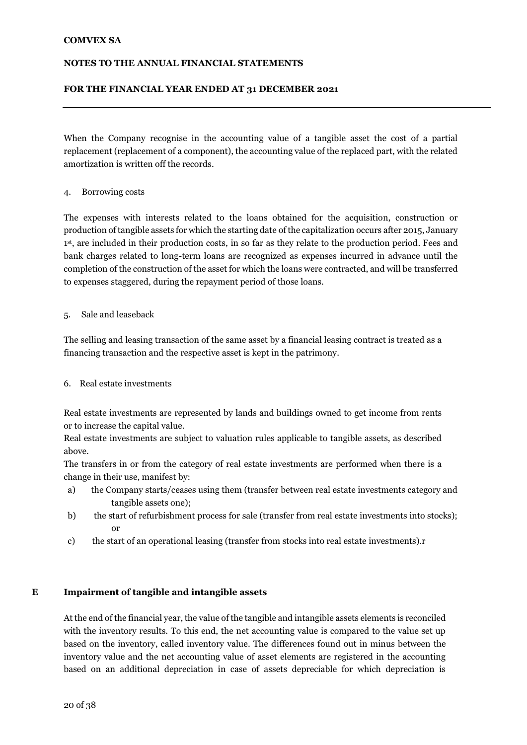#### **NOTES TO THE ANNUAL FINANCIAL STATEMENTS**

#### **FOR THE FINANCIAL YEAR ENDED AT 31 DECEMBER 2021**

When the Company recognise in the accounting value of a tangible asset the cost of a partial replacement (replacement of a component), the accounting value of the replaced part, with the related amortization is written off the records.

#### 4. Borrowing costs

The expenses with interests related to the loans obtained for the acquisition, construction or production of tangible assets for which the starting date of the capitalization occurs after 2015, January 1 st, are included in their production costs, in so far as they relate to the production period. Fees and bank charges related to long-term loans are recognized as expenses incurred in advance until the completion of the construction of the asset for which the loans were contracted, and will be transferred to expenses staggered, during the repayment period of those loans.

#### 5. Sale and leaseback

The selling and leasing transaction of the same asset by a financial leasing contract is treated as a financing transaction and the respective asset is kept in the patrimony.

#### 6. Real estate investments

Real estate investments are represented by lands and buildings owned to get income from rents or to increase the capital value.

Real estate investments are subject to valuation rules applicable to tangible assets, as described above.

The transfers in or from the category of real estate investments are performed when there is a change in their use, manifest by:

- a) the Company starts/ceases using them (transfer between real estate investments category and tangible assets one);
- b) the start of refurbishment process for sale (transfer from real estate investments into stocks); or
- c) the start of an operational leasing (transfer from stocks into real estate investments).r

#### **E Impairment of tangible and intangible assets**

At the end of the financial year, the value of the tangible and intangible assets elements is reconciled with the inventory results. To this end, the net accounting value is compared to the value set up based on the inventory, called inventory value. The differences found out in minus between the inventory value and the net accounting value of asset elements are registered in the accounting based on an additional depreciation in case of assets depreciable for which depreciation is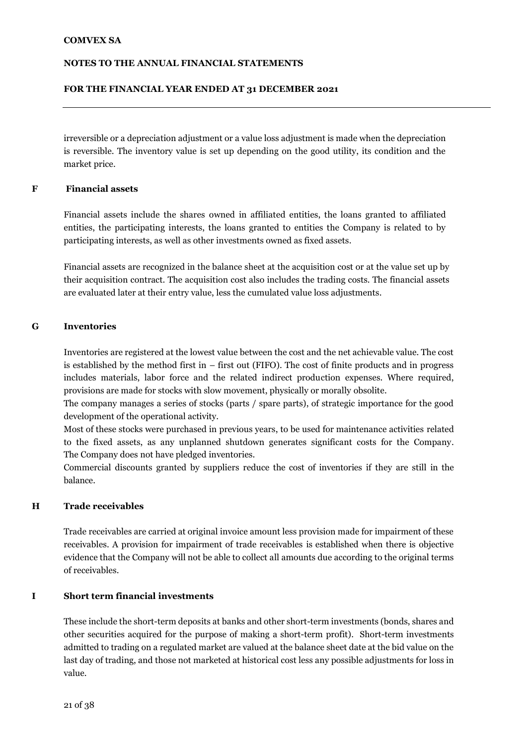#### **NOTES TO THE ANNUAL FINANCIAL STATEMENTS**

#### **FOR THE FINANCIAL YEAR ENDED AT 31 DECEMBER 2021**

irreversible or a depreciation adjustment or a value loss adjustment is made when the depreciation is reversible. The inventory value is set up depending on the good utility, its condition and the market price.

#### **F Financial assets**

Financial assets include the shares owned in affiliated entities, the loans granted to affiliated entities, the participating interests, the loans granted to entities the Company is related to by participating interests, as well as other investments owned as fixed assets.

Financial assets are recognized in the balance sheet at the acquisition cost or at the value set up by their acquisition contract. The acquisition cost also includes the trading costs. The financial assets are evaluated later at their entry value, less the cumulated value loss adjustments.

#### **G Inventories**

Inventories are registered at the lowest value between the cost and the net achievable value. The cost is established by the method first in – first out (FIFO). The cost of finite products and in progress includes materials, labor force and the related indirect production expenses. Where required, provisions are made for stocks with slow movement, physically or morally obsolite.

The company manages a series of stocks (parts / spare parts), of strategic importance for the good development of the operational activity.

Most of these stocks were purchased in previous years, to be used for maintenance activities related to the fixed assets, as any unplanned shutdown generates significant costs for the Company. The Company does not have pledged inventories.

Commercial discounts granted by suppliers reduce the cost of inventories if they are still in the balance.

#### **H Trade receivables**

Trade receivables are carried at original invoice amount less provision made for impairment of these receivables. A provision for impairment of trade receivables is established when there is objective evidence that the Company will not be able to collect all amounts due according to the original terms of receivables.

#### **I Short term financial investments**

These include the short-term deposits at banks and other short-term investments (bonds, shares and other securities acquired for the purpose of making a short-term profit). Short-term investments admitted to trading on a regulated market are valued at the balance sheet date at the bid value on the last day of trading, and those not marketed at historical cost less any possible adjustments for loss in value.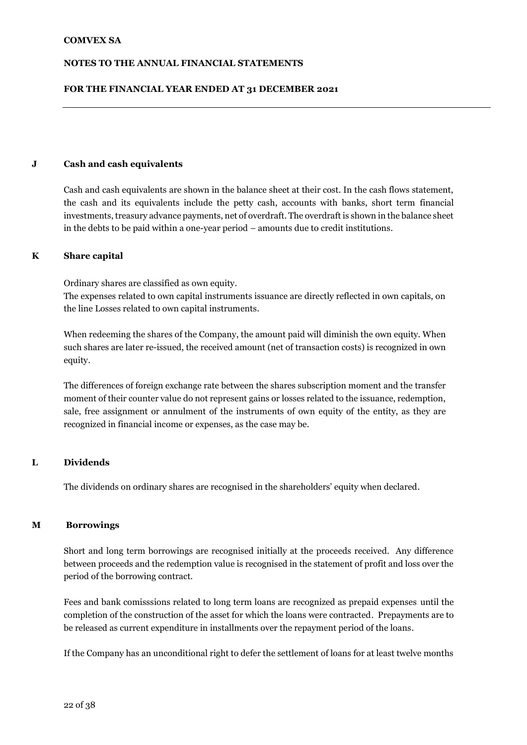#### **FOR THE FINANCIAL YEAR ENDED AT 31 DECEMBER 2021**

#### **J Cash and cash equivalents**

Cash and cash equivalents are shown in the balance sheet at their cost. In the cash flows statement, the cash and its equivalents include the petty cash, accounts with banks, short term financial investments, treasury advance payments, net of overdraft. The overdraft is shown in the balance sheet in the debts to be paid within a one-year period – amounts due to credit institutions.

#### **K Share capital**

Ordinary shares are classified as own equity.

The expenses related to own capital instruments issuance are directly reflected in own capitals, on the line Losses related to own capital instruments.

When redeeming the shares of the Company, the amount paid will diminish the own equity. When such shares are later re-issued, the received amount (net of transaction costs) is recognized in own equity.

The differences of foreign exchange rate between the shares subscription moment and the transfer moment of their counter value do not represent gains or losses related to the issuance, redemption, sale, free assignment or annulment of the instruments of own equity of the entity, as they are recognized in financial income or expenses, as the case may be.

#### **L Dividends**

The dividends on ordinary shares are recognised in the shareholders' equity when declared.

#### **ML Borrowings**

Short and long term borrowings are recognised initially at the proceeds received. Any difference between proceeds and the redemption value is recognised in the statement of profit and loss over the period of the borrowing contract.

Fees and bank comisssions related to long term loans are recognized as prepaid expenses until the completion of the construction of the asset for which the loans were contracted. Prepayments are to be released as current expenditure in installments over the repayment period of the loans.

If the Company has an unconditional right to defer the settlement of loans for at least twelve months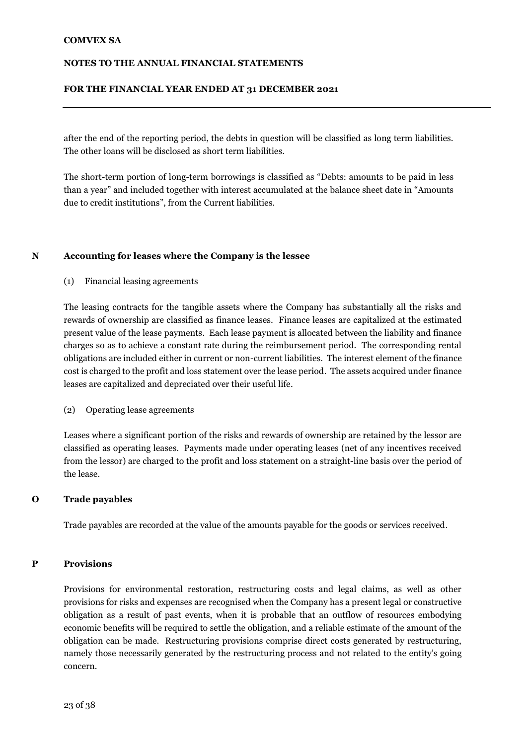#### **NOTES TO THE ANNUAL FINANCIAL STATEMENTS**

#### **FOR THE FINANCIAL YEAR ENDED AT 31 DECEMBER 2021**

after the end of the reporting period, the debts in question will be classified as long term liabilities. The other loans will be disclosed as short term liabilities.

The short-term portion of long-term borrowings is classified as "Debts: amounts to be paid in less than a year" and included together with interest accumulated at the balance sheet date in "Amounts due to credit institutions", from the Current liabilities.

#### **N Accounting for leases where the Company is the lessee**

(1) Financial leasing agreements

The leasing contracts for the tangible assets where the Company has substantially all the risks and rewards of ownership are classified as finance leases. Finance leases are capitalized at the estimated present value of the lease payments. Each lease payment is allocated between the liability and finance charges so as to achieve a constant rate during the reimbursement period. The corresponding rental obligations are included either in current or non-current liabilities. The interest element of the finance cost is charged to the profit and loss statement over the lease period. The assets acquired under finance leases are capitalized and depreciated over their useful life.

1. (2) Operating lease agreements

Leases where a significant portion of the risks and rewards of ownership are retained by the lessor are classified as operating leases. Payments made under operating leases (net of any incentives received from the lessor) are charged to the profit and loss statement on a straight-line basis over the period of the lease.

#### **O Trade payables**

Trade payables are recorded at the value of the amounts payable for the goods or services received.

#### **P Provisions**

Provisions for environmental restoration, restructuring costs and legal claims, as well as other provisions for risks and expenses are recognised when the Company has a present legal or constructive obligation as a result of past events, when it is probable that an outflow of resources embodying economic benefits will be required to settle the obligation, and a reliable estimate of the amount of the obligation can be made. Restructuring provisions comprise direct costs generated by restructuring, namely those necessarily generated by the restructuring process and not related to the entity's going concern.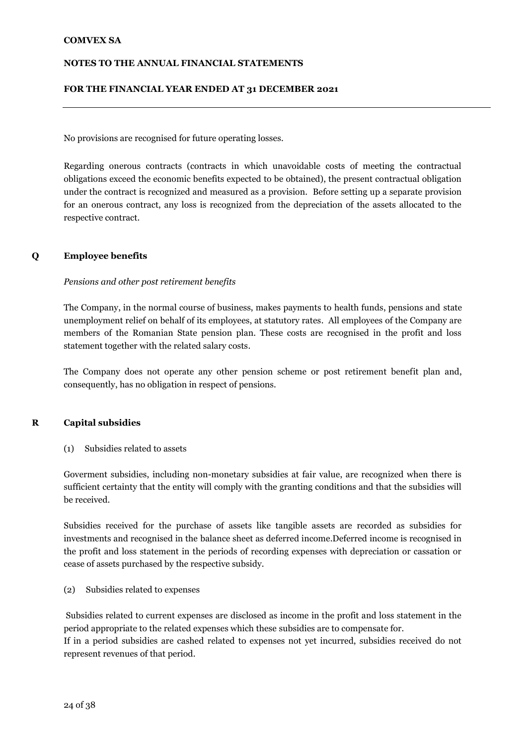#### **NOTES TO THE ANNUAL FINANCIAL STATEMENTS**

#### **FOR THE FINANCIAL YEAR ENDED AT 31 DECEMBER 2021**

No provisions are recognised for future operating losses.

Regarding onerous contracts (contracts in which unavoidable costs of meeting the contractual obligations exceed the economic benefits expected to be obtained), the present contractual obligation under the contract is recognized and measured as a provision. Before setting up a separate provision for an onerous contract, any loss is recognized from the depreciation of the assets allocated to the respective contract.

#### **Q Employee benefits**

#### *Pensions and other post retirement benefits*

The Company, in the normal course of business, makes payments to health funds, pensions and state unemployment relief on behalf of its employees, at statutory rates. All employees of the Company are members of the Romanian State pension plan. These costs are recognised in the profit and loss statement together with the related salary costs.

The Company does not operate any other pension scheme or post retirement benefit plan and, consequently, has no obligation in respect of pensions.

#### **R Capital subsidies**

(1) Subsidies related to assets

Goverment subsidies, including non-monetary subsidies at fair value, are recognized when there is sufficient certainty that the entity will comply with the granting conditions and that the subsidies will be received.

Subsidies received for the purchase of assets like tangible assets are recorded as subsidies for investments and recognised in the balance sheet as deferred income.Deferred income is recognised in the profit and loss statement in the periods of recording expenses with depreciation or cassation or cease of assets purchased by the respective subsidy.

(2) Subsidies related to expenses

Subsidies related to current expenses are disclosed as income in the profit and loss statement in the period appropriate to the related expenses which these subsidies are to compensate for.

If in a period subsidies are cashed related to expenses not yet incurred, subsidies received do not represent revenues of that period.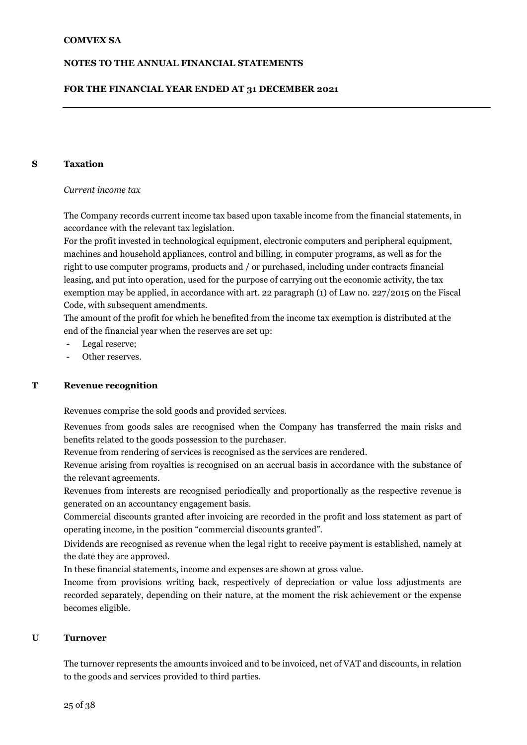#### **FOR THE FINANCIAL YEAR ENDED AT 31 DECEMBER 2021**

#### **S Taxation**

#### *Current income tax*

The Company records current income tax based upon taxable income from the financial statements, in accordance with the relevant tax legislation.

For the profit invested in technological equipment, electronic computers and peripheral equipment, machines and household appliances, control and billing, in computer programs, as well as for the right to use computer programs, products and / or purchased, including under contracts financial leasing, and put into operation, used for the purpose of carrying out the economic activity, the tax exemption may be applied, in accordance with art. 22 paragraph (1) of Law no. 227/2015 on the Fiscal Code, with subsequent amendments.

The amount of the profit for which he benefited from the income tax exemption is distributed at the end of the financial year when the reserves are set up:

- Legal reserve;
- Other reserves.

#### **T Revenue recognition**

Revenues comprise the sold goods and provided services.

Revenues from goods sales are recognised when the Company has transferred the main risks and benefits related to the goods possession to the purchaser.

Revenue from rendering of services is recognised as the services are rendered.

Revenue arising from royalties is recognised on an accrual basis in accordance with the substance of the relevant agreements.

Revenues from interests are recognised periodically and proportionally as the respective revenue is generated on an accountancy engagement basis.

Commercial discounts granted after invoicing are recorded in the profit and loss statement as part of operating income, in the position "commercial discounts granted".

Dividends are recognised as revenue when the legal right to receive payment is established, namely at the date they are approved.

In these financial statements, income and expenses are shown at gross value.

Income from provisions writing back, respectively of depreciation or value loss adjustments are recorded separately, depending on their nature, at the moment the risk achievement or the expense becomes eligible.

#### **U Turnover**

The turnover represents the amounts invoiced and to be invoiced, net of VAT and discounts, in relation to the goods and services provided to third parties.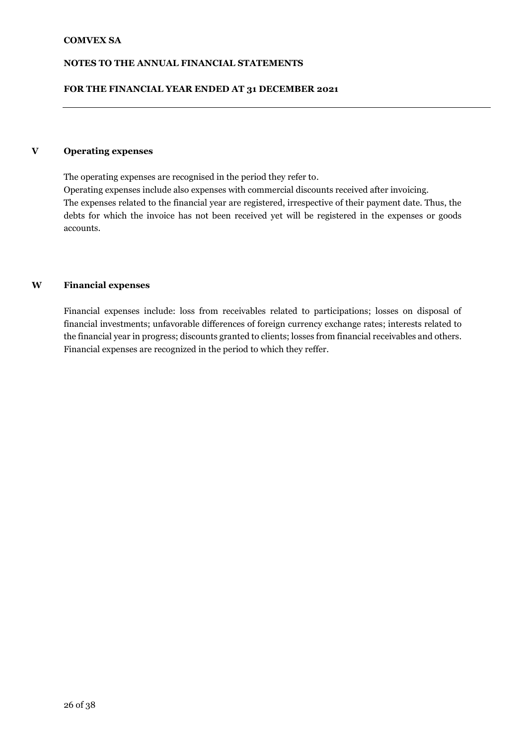#### **NOTES TO THE ANNUAL FINANCIAL STATEMENTS**

#### **FOR THE FINANCIAL YEAR ENDED AT 31 DECEMBER 2021**

#### **V Operating expenses**

The operating expenses are recognised in the period they refer to. Operating expenses include also expenses with commercial discounts received after invoicing. The expenses related to the financial year are registered, irrespective of their payment date. Thus, the debts for which the invoice has not been received yet will be registered in the expenses or goods accounts.

#### **W Financial expenses**

Financial expenses include: loss from receivables related to participations; losses on disposal of financial investments; unfavorable differences of foreign currency exchange rates; interests related to the financial year in progress; discounts granted to clients; losses from financial receivables and others. Financial expenses are recognized in the period to which they reffer.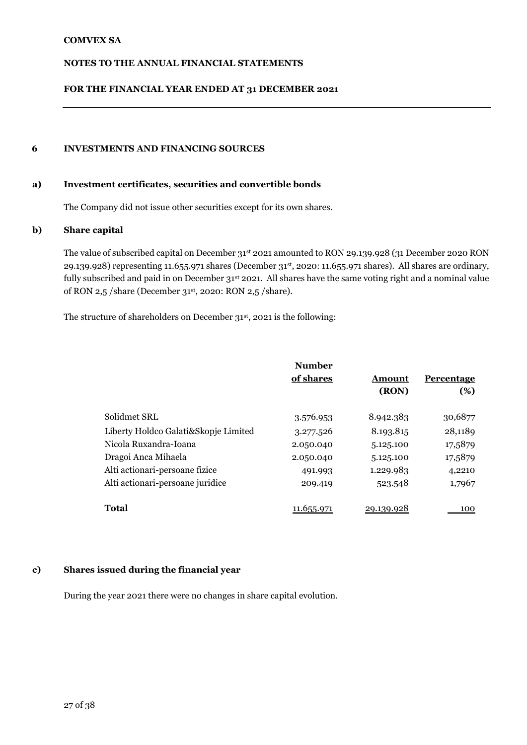#### **NOTES TO THE ANNUAL FINANCIAL STATEMENTS**

#### **FOR THE FINANCIAL YEAR ENDED AT 31 DECEMBER 2021**

#### **6 INVESTMENTS AND FINANCING SOURCES**

#### **a) Investment certificates, securities and convertible bonds**

The Company did not issue other securities except for its own shares.

#### **b) Share capital**

The value of subscribed capital on December 31st 2021 amounted to RON 29.139.928 (31 December 2020 RON 29.139.928) representing 11.655.971 shares (December 31st , 2020: 11.655.971 shares). All shares are ordinary, fully subscribed and paid in on December 31<sup>st</sup> 2021. All shares have the same voting right and a nominal value of RON 2,5 /share (December 31st , 2020: RON 2,5 /share).

The structure of shareholders on December 31st, 2021 is the following:

|                                      | <b>Number</b><br>of shares | Amount<br>(RON) | <b>Percentage</b><br>(%) |
|--------------------------------------|----------------------------|-----------------|--------------------------|
| Solidmet SRL                         | 3.576.953                  | 8.942.383       | 30,6877                  |
| Liberty Holdco Galati&Skopje Limited | 3.277.526                  | 8.193.815       | 28,1189                  |
| Nicola Ruxandra-Ioana                | 2.050.040                  | 5.125.100       | 17,5879                  |
| Dragoi Anca Mihaela                  | 2.050.040                  | 5.125.100       | 17,5879                  |
| Alti actionari-persoane fizice       | 491.993                    | 1.229.983       | 4,2210                   |
| Alti actionari-persoane juridice     | 209.419                    | 523.548         | 1,7967                   |
| Total                                | 11.655.971                 | 20.130.028      | 100                      |

#### **c) Shares issued during the financial year**

During the year 2021 there were no changes in share capital evolution.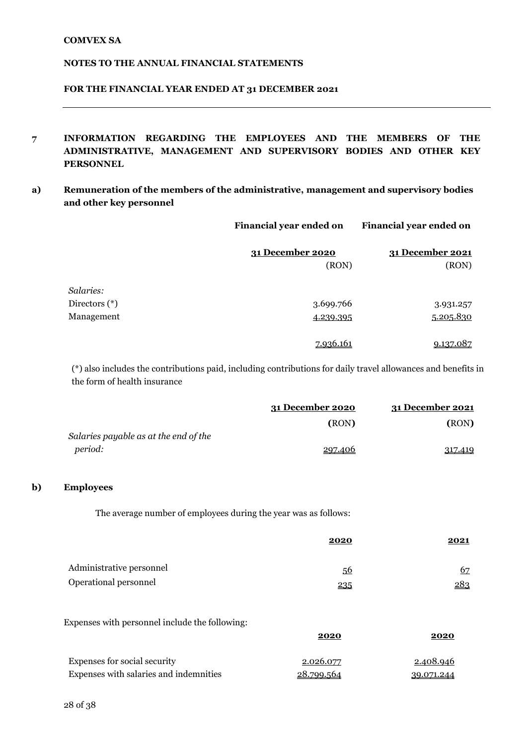#### **FOR THE FINANCIAL YEAR ENDED AT 31 DECEMBER 2021**

- **7 INFORMATION REGARDING THE EMPLOYEES AND THE MEMBERS OF THE ADMINISTRATIVE, MANAGEMENT AND SUPERVISORY BODIES AND OTHER KEY PERSONNEL**
- **a) Remuneration of the members of the administrative, management and supervisory bodies and other key personnel**

|               | Financial year ended on | Financial year ended on |  |
|---------------|-------------------------|-------------------------|--|
|               | 31 December 2020        | 31 December 2021        |  |
|               | (RON)                   | (RON)                   |  |
| Salaries:     |                         |                         |  |
| Directors (*) | 3.699.766               | 3.931.257               |  |
| Management    | 4.239.395               | 5.205.830               |  |
|               | 7.936.161               | 9.137.087               |  |

(\*) also includes the contributions paid, including contributions for daily travel allowances and benefits in the form of health insurance

|                                       | 31 December 2020 | 31 December 2021 |
|---------------------------------------|------------------|------------------|
|                                       | (RON)            | (RON)            |
| Salaries payable as at the end of the |                  |                  |
| <i>period:</i>                        | 297.406          | 317.419          |

#### **b) Employees**

The average number of employees during the year was as follows:

|                          | 2020 | <u> 2021</u> |
|--------------------------|------|--------------|
| Administrative personnel | 56   | 67           |
| Operational personnel    | 235  | 283          |

Expenses with personnel include the following:

|                                        | 2020       | 2020       |
|----------------------------------------|------------|------------|
| Expenses for social security           | 2.026.077  | 2.408.946  |
| Expenses with salaries and indemnities | 28.799.564 | 39.071.244 |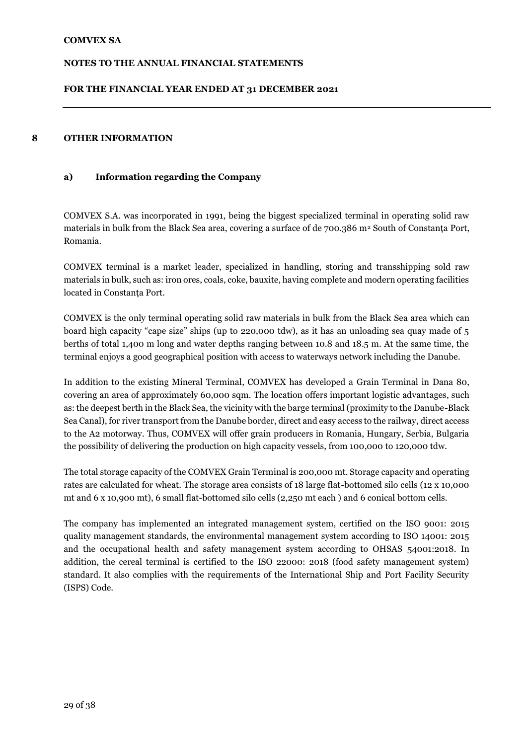#### **FOR THE FINANCIAL YEAR ENDED AT 31 DECEMBER 2021**

#### **8 OTHER INFORMATION**

#### **a) Information regarding the Company**

COMVEX S.A. was incorporated in 1991, being the biggest specialized terminal in operating solid raw materials in bulk from the Black Sea area, covering a surface of de 700.386 m<sup>2</sup> South of Constanța Port, Romania.

COMVEX terminal is a market leader, specialized in handling, storing and transshipping sold raw materials in bulk, such as: iron ores, coals, coke, bauxite, having complete and modern operating facilities located in Constanța Port.

COMVEX is the only terminal operating solid raw materials in bulk from the Black Sea area which can board high capacity "cape size" ships (up to 220,000 tdw), as it has an unloading sea quay made of 5 berths of total 1,400 m long and water depths ranging between 10.8 and 18.5 m. At the same time, the terminal enjoys a good geographical position with access to waterways network including the Danube.

In addition to the existing Mineral Terminal, COMVEX has developed a Grain Terminal in Dana 80, covering an area of approximately 60,000 sqm. The location offers important logistic advantages, such as: the deepest berth in the Black Sea, the vicinity with the barge terminal (proximity to the Danube-Black Sea Canal), for river transport from the Danube border, direct and easy access to the railway, direct access to the A2 motorway. Thus, COMVEX will offer grain producers in Romania, Hungary, Serbia, Bulgaria the possibility of delivering the production on high capacity vessels, from 100,000 to 120,000 tdw.

The total storage capacity of the COMVEX Grain Terminal is 200,000 mt. Storage capacity and operating rates are calculated for wheat. The storage area consists of 18 large flat-bottomed silo cells (12 x 10,000 mt and 6 x 10,900 mt), 6 small flat-bottomed silo cells (2,250 mt each ) and 6 conical bottom cells.

The company has implemented an integrated management system, certified on the ISO 9001: 2015 quality management standards, the environmental management system according to ISO 14001: 2015 and the occupational health and safety management system according to OHSAS 54001:2018. In addition, the cereal terminal is certified to the ISO 22000: 2018 (food safety management system) standard. It also complies with the requirements of the International Ship and Port Facility Security (ISPS) Code.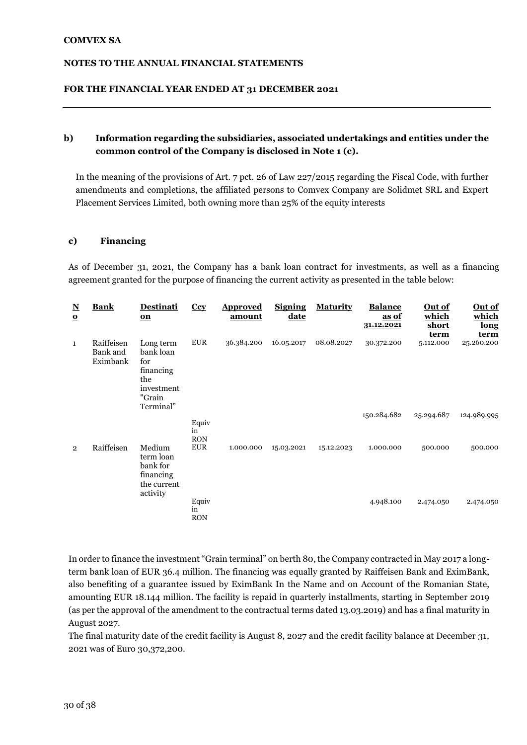#### **FOR THE FINANCIAL YEAR ENDED AT 31 DECEMBER 2021**

#### **b) Information regarding the subsidiaries, associated undertakings and entities under the common control of the Company is disclosed in Note 1 (c).**

In the meaning of the provisions of Art. 7 pct. 26 of Law 227/2015 regarding the Fiscal Code, with further amendments and completions, the affiliated persons to Comvex Company are Solidmet SRL and Expert Placement Services Limited, both owning more than 25% of the equity interests

#### **c) Financing**

As of December 31, 2021, the Company has a bank loan contract for investments, as well as a financing agreement granted for the purpose of financing the current activity as presented in the table below:

| ${\bf N}$<br>$\Omega$ | <b>Bank</b>                        | <b>Destinati</b><br>$\underline{\mathbf{on}}$                                          | Ccy                       | <b>Approved</b><br><u>amount</u> | <b>Signing</b><br>date | <b>Maturity</b> | <b>Balance</b><br>as of<br>31.12.2021 | Out of<br>which<br>short<br>term | <u>Out of</u><br>which<br>long<br>term |
|-----------------------|------------------------------------|----------------------------------------------------------------------------------------|---------------------------|----------------------------------|------------------------|-----------------|---------------------------------------|----------------------------------|----------------------------------------|
| $\mathbf{1}$          | Raiffeisen<br>Bank and<br>Eximbank | Long term<br>bank loan<br>for<br>financing<br>the<br>investment<br>"Grain<br>Terminal" | <b>EUR</b>                | 36.384.200                       | 16.05.2017             | 08.08.2027      | 30.372.200<br>150.284.682             | 5.112.000<br>25.294.687          | 25.260.200<br>124.989.995              |
|                       |                                    |                                                                                        | Equiv<br>in<br><b>RON</b> |                                  |                        |                 |                                       |                                  |                                        |
| $\overline{2}$        | Raiffeisen                         | Medium<br>term loan<br>bank for<br>financing<br>the current<br>activity                | <b>EUR</b>                | 1.000.000                        | 15.03.2021             | 15.12.2023      | 1.000.000                             | 500.000                          | 500.000                                |
|                       |                                    |                                                                                        | Equiv<br>in<br><b>RON</b> |                                  |                        |                 | 4.948.100                             | 2.474.050                        | 2.474.050                              |

In order to finance the investment "Grain terminal" on berth 80, the Company contracted in May 2017 a longterm bank loan of EUR 36.4 million. The financing was equally granted by Raiffeisen Bank and EximBank, also benefiting of a guarantee issued by EximBank In the Name and on Account of the Romanian State, amounting EUR 18.144 million. The facility is repaid in quarterly installments, starting in September 2019 (as per the approval of the amendment to the contractual terms dated 13.03.2019) and has a final maturity in August 2027.

The final maturity date of the credit facility is August 8, 2027 and the credit facility balance at December 31, 2021 was of Euro 30,372,200.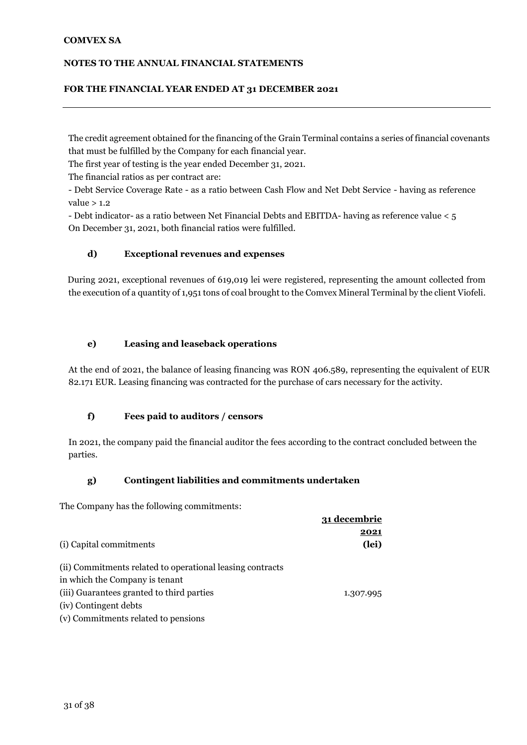#### **NOTES TO THE ANNUAL FINANCIAL STATEMENTS**

#### **FOR THE FINANCIAL YEAR ENDED AT 31 DECEMBER 2021**

The credit agreement obtained for the financing of the Grain Terminal contains a series of financial covenants that must be fulfilled by the Company for each financial year.

The first year of testing is the year ended December 31, 2021.

The financial ratios as per contract are:

- Debt Service Coverage Rate - as a ratio between Cash Flow and Net Debt Service - having as reference value  $> 1.2$ 

- Debt indicator- as a ratio between Net Financial Debts and EBITDA- having as reference value < 5 On December 31, 2021, both financial ratios were fulfilled.

#### **d) Exceptional revenues and expenses**

During 2021, exceptional revenues of 619,019 lei were registered, representing the amount collected from the execution of a quantity of 1,951 tons of coal brought to the Comvex Mineral Terminal by the client Viofeli.

#### **e) Leasing and leaseback operations**

At the end of 2021, the balance of leasing financing was RON 406.589, representing the equivalent of EUR 82.171 EUR. Leasing financing was contracted for the purchase of cars necessary for the activity.

#### **f) Fees paid to auditors / censors**

In 2021, the company paid the financial auditor the fees according to the contract concluded between the parties.

#### **g) Contingent liabilities and commitments undertaken**

The Company has the following commitments:

|                                                           | 31 decembrie  |
|-----------------------------------------------------------|---------------|
| (i) Capital commitments                                   | 2021<br>(lei) |
|                                                           |               |
| (ii) Commitments related to operational leasing contracts |               |
| in which the Company is tenant                            |               |
| (iii) Guarantees granted to third parties                 | 1.307.995     |
| (iv) Contingent debts                                     |               |
| (v) Commitments related to pensions                       |               |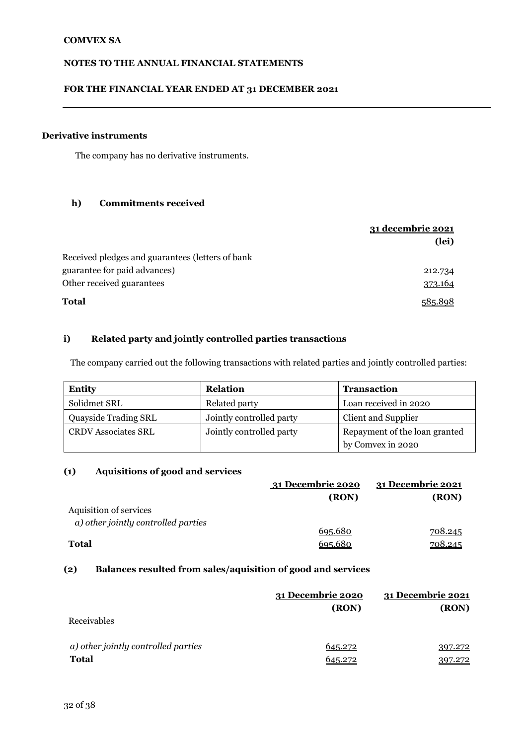#### **FOR THE FINANCIAL YEAR ENDED AT 31 DECEMBER 2021**

### **Derivative instruments**

The company has no derivative instruments.

#### **h) Commitments received**

|                                                  | 31 decembrie 2021 |
|--------------------------------------------------|-------------------|
|                                                  | (lei)             |
| Received pledges and guarantees (letters of bank |                   |
| guarantee for paid advances)                     | 212.734           |
| Other received guarantees                        | 373.164           |
| <b>Total</b>                                     |                   |

### **i) Related party and jointly controlled parties transactions**

The company carried out the following transactions with related parties and jointly controlled parties:

| <b>Entity</b>              | <b>Relation</b>          | <b>Transaction</b>            |
|----------------------------|--------------------------|-------------------------------|
| Solidmet SRL               | Related party            | Loan received in 2020         |
| Quayside Trading SRL       | Jointly controlled party | Client and Supplier           |
| <b>CRDV Associates SRL</b> | Jointly controlled party | Repayment of the loan granted |
|                            |                          | by Comvex in 2020             |

#### **(1) Aquisitions of good and services**

|                                     | 31 Decembrie 2020 | 31 Decembrie 2021 |
|-------------------------------------|-------------------|-------------------|
|                                     | (RON)             | (RON)             |
| Aquisition of services              |                   |                   |
| a) other jointly controlled parties |                   |                   |
|                                     | 695.680           | <u>708.245</u>    |
| <b>Total</b>                        | 695.680           | 708.245           |

#### **(2) Balances resulted from sales/aquisition of good and services**

|                                     | 31 Decembrie 2020<br>(RON) | 31 Decembrie 2021<br>(RON) |
|-------------------------------------|----------------------------|----------------------------|
| Receivables                         |                            |                            |
| a) other jointly controlled parties | 645.272                    | 397.272                    |
| <b>Total</b>                        | 545.979                    | 397.272                    |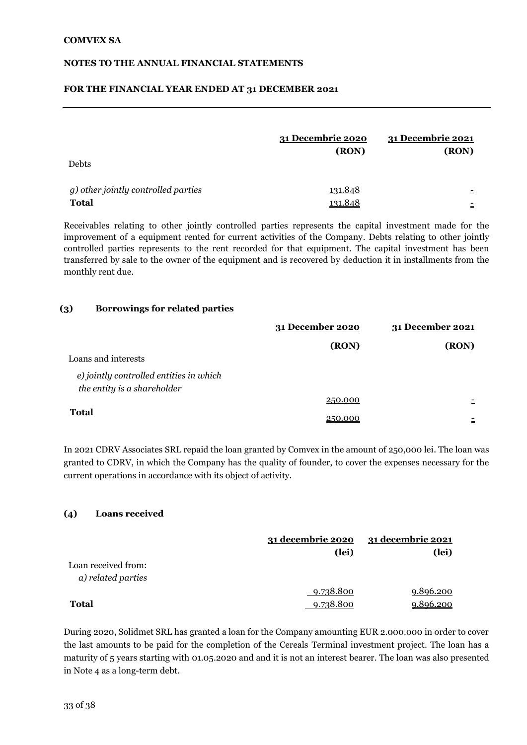#### **FOR THE FINANCIAL YEAR ENDED AT 31 DECEMBER 2021**

| Debts                                               | <u>31 Decembrie 2020</u><br>(RON) | 31 Decembrie 2021<br>(RON) |
|-----------------------------------------------------|-----------------------------------|----------------------------|
| g) other jointly controlled parties<br><b>Total</b> | 131.848<br><u>131.848</u>         | $\overline{\phantom{0}}$   |

Receivables relating to other jointly controlled parties represents the capital investment made for the improvement of a equipment rented for current activities of the Company. Debts relating to other jointly controlled parties represents to the rent recorded for that equipment. The capital investment has been transferred by sale to the owner of the equipment and is recovered by deduction it in installments from the monthly rent due.

#### **(3) Borrowings for related parties**

|                                                                        | 31 December 2020 | 31 December 2021 |
|------------------------------------------------------------------------|------------------|------------------|
|                                                                        | (RON)            | (RON)            |
| Loans and interests                                                    |                  |                  |
| e) jointly controlled entities in which<br>the entity is a shareholder |                  |                  |
|                                                                        | 250.000          |                  |
| <b>Total</b>                                                           | 250.000          |                  |

In 2021 CDRV Associates SRL repaid the loan granted by Comvex in the amount of 250,000 lei. The loan was granted to CDRV, in which the Company has the quality of founder, to cover the expenses necessary for the current operations in accordance with its object of activity.

#### **(4) Loans received**

|                     | 31 decembrie 2020 | <u>31 decembrie 2021</u> |
|---------------------|-------------------|--------------------------|
|                     | (lei)             | (lei)                    |
| Loan received from: |                   |                          |
| a) related parties  |                   |                          |
|                     | 9.738.800         | 9.896.200                |
| <b>Total</b>        | 9.738.800         | 9.896.200                |

During 2020, Solidmet SRL has granted a loan for the Company amounting EUR 2.000.000 in order to cover the last amounts to be paid for the completion of the Cereals Terminal investment project. The loan has a maturity of 5 years starting with 01.05.2020 and and it is not an interest bearer. The loan was also presented in Note 4 as a long-term debt.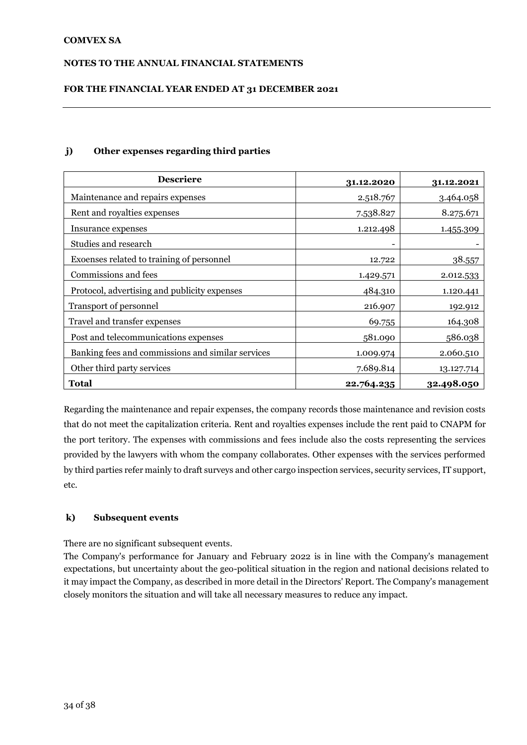#### **NOTES TO THE ANNUAL FINANCIAL STATEMENTS**

#### **FOR THE FINANCIAL YEAR ENDED AT 31 DECEMBER 2021**

#### **j) Other expenses regarding third parties**

| <b>Descriere</b>                                  | 31.12.2020 | 31.12.2021 |
|---------------------------------------------------|------------|------------|
| Maintenance and repairs expenses                  | 2.518.767  | 3.464.058  |
| Rent and royalties expenses                       | 7.538.827  | 8.275.671  |
| Insurance expenses                                | 1.212.498  | 1.455.309  |
| Studies and research                              | ۰          |            |
| Exoenses related to training of personnel         | 12.722     | 38.557     |
| Commissions and fees                              | 1.429.571  | 2.012.533  |
| Protocol, advertising and publicity expenses      | 484.310    | 1.120.441  |
| Transport of personnel                            | 216.907    | 192.912    |
| Travel and transfer expenses                      | 69.755     | 164.308    |
| Post and telecommunications expenses              | 581.090    | 586.038    |
| Banking fees and commissions and similar services | 1.009.974  | 2.060.510  |
| Other third party services                        | 7.689.814  | 13.127.714 |
| <b>Total</b>                                      | 22.764.235 | 32.498.050 |

Regarding the maintenance and repair expenses, the company records those maintenance and revision costs that do not meet the capitalization criteria. Rent and royalties expenses include the rent paid to CNAPM for the port teritory. The expenses with commissions and fees include also the costs representing the services provided by the lawyers with whom the company collaborates. Other expenses with the services performed by third parties refer mainly to draft surveys and other cargo inspection services, security services, IT support, etc.

#### **k) Subsequent events**

There are no significant subsequent events.

The Company's performance for January and February 2022 is in line with the Company's management expectations, but uncertainty about the geo-political situation in the region and national decisions related to it may impact the Company, as described in more detail in the Directors' Report. The Company's management closely monitors the situation and will take all necessary measures to reduce any impact.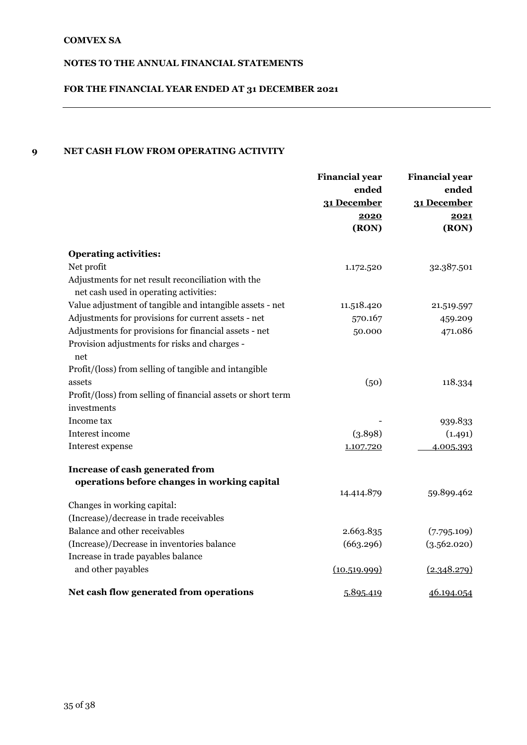# **FOR THE FINANCIAL YEAR ENDED AT 31 DECEMBER 2021**

# **9 NET CASH FLOW FROM OPERATING ACTIVITY**

|                                                                                              | <b>Financial year</b><br>ended<br>31 December | <b>Financial year</b><br>ended<br>31 December |
|----------------------------------------------------------------------------------------------|-----------------------------------------------|-----------------------------------------------|
|                                                                                              | 2020                                          | 2021                                          |
|                                                                                              | (RON)                                         | (RON)                                         |
| <b>Operating activities:</b>                                                                 |                                               |                                               |
| Net profit                                                                                   | 1.172.520                                     | 32.387.501                                    |
| Adjustments for net result reconciliation with the<br>net cash used in operating activities: |                                               |                                               |
| Value adjustment of tangible and intangible assets - net                                     | 11.518.420                                    | 21.519.597                                    |
| Adjustments for provisions for current assets - net                                          | 570.167                                       | 459.209                                       |
| Adjustments for provisions for financial assets - net                                        | 50.000                                        | 471.086                                       |
| Provision adjustments for risks and charges -<br>net                                         |                                               |                                               |
| Profit/(loss) from selling of tangible and intangible                                        |                                               |                                               |
| assets                                                                                       | (50)                                          | 118.334                                       |
| Profit/(loss) from selling of financial assets or short term                                 |                                               |                                               |
| investments                                                                                  |                                               |                                               |
| Income tax                                                                                   |                                               | 939.833                                       |
| Interest income                                                                              | (3.898)                                       | (1.491)                                       |
| Interest expense                                                                             | 1.107.720                                     | 4.005.393                                     |
| Increase of cash generated from                                                              |                                               |                                               |
| operations before changes in working capital                                                 |                                               |                                               |
|                                                                                              | 14.414.879                                    | 59.899.462                                    |
| Changes in working capital:                                                                  |                                               |                                               |
| (Increase)/decrease in trade receivables                                                     |                                               |                                               |
| Balance and other receivables                                                                | 2.663.835                                     | (7.795.109)                                   |
| (Increase)/Decrease in inventories balance                                                   | (663.296)                                     | (3.562.020)                                   |
| Increase in trade payables balance                                                           |                                               |                                               |
| and other payables                                                                           | (10.519.999)                                  | (2.348.279)                                   |
| Net cash flow generated from operations                                                      | 5.895.419                                     | 46.194.054                                    |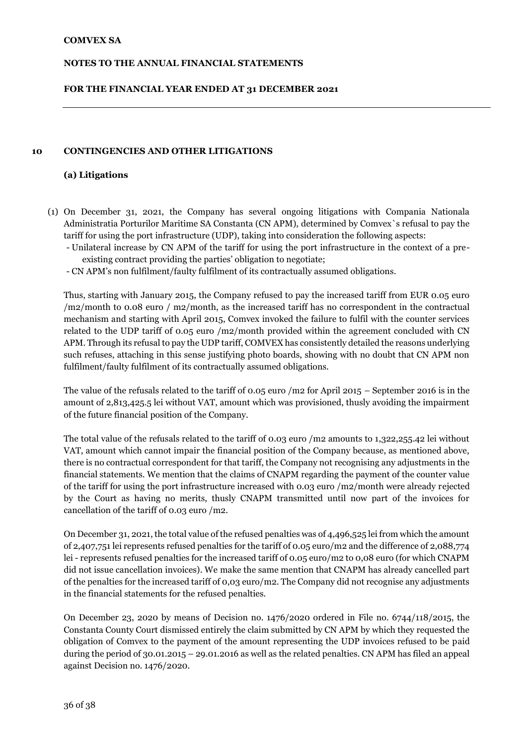#### **FOR THE FINANCIAL YEAR ENDED AT 31 DECEMBER 2021**

#### **10 CONTINGENCIES AND OTHER LITIGATIONS**

#### **(a) Litigations**

- (1) On December 31, 2021, the Company has several ongoing litigations with Compania Nationala Administratia Porturilor Maritime SA Constanta (CN APM), determined by Comvex`s refusal to pay the tariff for using the port infrastructure (UDP), taking into consideration the following aspects:
	- Unilateral increase by CN APM of the tariff for using the port infrastructure in the context of a preexisting contract providing the parties' obligation to negotiate;
	- CN APM's non fulfilment/faulty fulfilment of its contractually assumed obligations.

Thus, starting with January 2015, the Company refused to pay the increased tariff from EUR 0.05 euro /m2/month to 0.08 euro / m2/month, as the increased tariff has no correspondent in the contractual mechanism and starting with April 2015, Comvex invoked the failure to fulfil with the counter services related to the UDP tariff of 0.05 euro /m2/month provided within the agreement concluded with CN APM. Through its refusal to pay the UDP tariff, COMVEX has consistently detailed the reasons underlying such refuses, attaching in this sense justifying photo boards, showing with no doubt that CN APM non fulfilment/faulty fulfilment of its contractually assumed obligations.

The value of the refusals related to the tariff of 0.05 euro /m2 for April 2015 – September 2016 is in the amount of 2,813,425.5 lei without VAT, amount which was provisioned, thusly avoiding the impairment of the future financial position of the Company.

The total value of the refusals related to the tariff of 0.03 euro /m2 amounts to 1,322,255.42 lei without VAT, amount which cannot impair the financial position of the Company because, as mentioned above, there is no contractual correspondent for that tariff, the Company not recognising any adjustments in the financial statements. We mention that the claims of CNAPM regarding the payment of the counter value of the tariff for using the port infrastructure increased with 0.03 euro /m2/month were already rejected by the Court as having no merits, thusly CNAPM transmitted until now part of the invoices for cancellation of the tariff of 0.03 euro /m2.

On December 31, 2021, the total value of the refused penalties was of 4,496,525 lei from which the amount of 2,407,751 lei represents refused penalties for the tariff of 0.05 euro/m2 and the difference of 2,088,774 lei - represents refused penalties for the increased tariff of 0.05 euro/m2 to 0,08 euro (for which CNAPM did not issue cancellation invoices). We make the same mention that CNAPM has already cancelled part of the penalties for the increased tariff of 0,03 euro/m2. The Company did not recognise any adjustments in the financial statements for the refused penalties.

On December 23, 2020 by means of Decision no. 1476/2020 ordered in File no. 6744/118/2015, the Constanta County Court dismissed entirely the claim submitted by CN APM by which they requested the obligation of Comvex to the payment of the amount representing the UDP invoices refused to be paid during the period of 30.01.2015 – 29.01.2016 as well as the related penalties. CN APM has filed an appeal against Decision no. 1476/2020.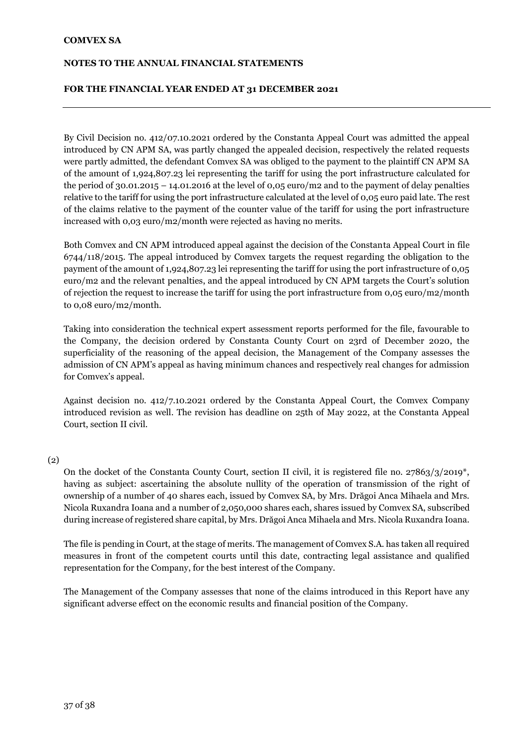#### **NOTES TO THE ANNUAL FINANCIAL STATEMENTS**

#### **FOR THE FINANCIAL YEAR ENDED AT 31 DECEMBER 2021**

By Civil Decision no. 412/07.10.2021 ordered by the Constanta Appeal Court was admitted the appeal introduced by CN APM SA, was partly changed the appealed decision, respectively the related requests were partly admitted, the defendant Comvex SA was obliged to the payment to the plaintiff CN APM SA of the amount of 1,924,807.23 lei representing the tariff for using the port infrastructure calculated for the period of 30.01.2015 – 14.01.2016 at the level of 0,05 euro/m2 and to the payment of delay penalties relative to the tariff for using the port infrastructure calculated at the level of 0,05 euro paid late. The rest of the claims relative to the payment of the counter value of the tariff for using the port infrastructure increased with 0,03 euro/m2/month were rejected as having no merits.

Both Comvex and CN APM introduced appeal against the decision of the Constanta Appeal Court in file 6744/118/2015. The appeal introduced by Comvex targets the request regarding the obligation to the payment of the amount of 1,924,807.23 lei representing the tariff for using the port infrastructure of 0,05 euro/m2 and the relevant penalties, and the appeal introduced by CN APM targets the Court's solution of rejection the request to increase the tariff for using the port infrastructure from 0,05 euro/m2/month to 0,08 euro/m2/month.

Taking into consideration the technical expert assessment reports performed for the file, favourable to the Company, the decision ordered by Constanta County Court on 23rd of December 2020, the superficiality of the reasoning of the appeal decision, the Management of the Company assesses the admission of CN APM's appeal as having minimum chances and respectively real changes for admission for Comvex's appeal.

Against decision no. 412/7.10.2021 ordered by the Constanta Appeal Court, the Comvex Company introduced revision as well. The revision has deadline on 25th of May 2022, at the Constanta Appeal Court, section II civil.

#### (2)

On the docket of the Constanta County Court, section II civil, it is registered file no.  $27863/3/2019^*$ , having as subject: ascertaining the absolute nullity of the operation of transmission of the right of ownership of a number of 40 shares each, issued by Comvex SA, by Mrs. Drăgoi Anca Mihaela and Mrs. Nicola Ruxandra Ioana and a number of 2,050,000 shares each, shares issued by Comvex SA, subscribed during increase of registered share capital, by Mrs. Drăgoi Anca Mihaela and Mrs. Nicola Ruxandra Ioana.

The file is pending in Court, at the stage of merits. The management of Comvex S.A. has taken all required measures in front of the competent courts until this date, contracting legal assistance and qualified representation for the Company, for the best interest of the Company.

The Management of the Company assesses that none of the claims introduced in this Report have any significant adverse effect on the economic results and financial position of the Company.